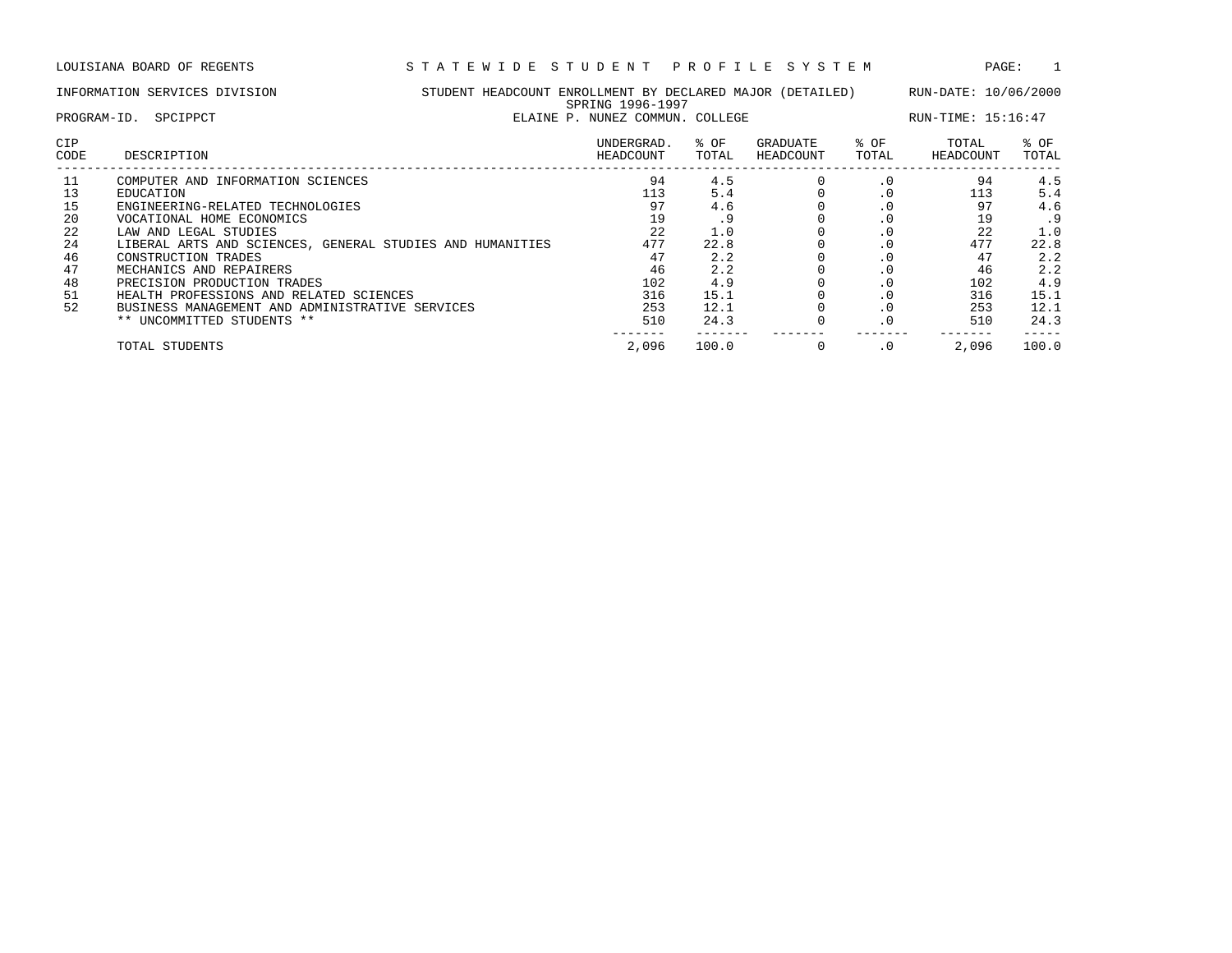LOUISIANA BOARD OF REGENTS S T A T E W I D E S T U D E N T P R O F I L E S Y S T E M PAGE: 1

| STUDENT HEADCOUNT ENROLLMENT BY DECLARED MAJOR (DETAILED)<br>INFORMATION SERVICES DIVISION<br>SPRING 1996-1997<br>ELAINE P. NUNEZ COMMUN. COLLEGE<br>PROGRAM-ID.<br>SPCIPPCT |                                                                                                                                                                                                                                                                                                                                                                                                                           |  |                                                                            |                                                                                     |                       |                                                                                                                                                          | RUN-DATE: 10/06/2000<br>RUN-TIME: 15:16:47                                 |                                                                                     |
|------------------------------------------------------------------------------------------------------------------------------------------------------------------------------|---------------------------------------------------------------------------------------------------------------------------------------------------------------------------------------------------------------------------------------------------------------------------------------------------------------------------------------------------------------------------------------------------------------------------|--|----------------------------------------------------------------------------|-------------------------------------------------------------------------------------|-----------------------|----------------------------------------------------------------------------------------------------------------------------------------------------------|----------------------------------------------------------------------------|-------------------------------------------------------------------------------------|
| <b>CIP</b><br>CODE                                                                                                                                                           | DESCRIPTION                                                                                                                                                                                                                                                                                                                                                                                                               |  | UNDERGRAD.<br>HEADCOUNT                                                    | % OF<br>TOTAL                                                                       | GRADUATE<br>HEADCOUNT | % OF<br>TOTAL                                                                                                                                            | TOTAL<br>HEADCOUNT                                                         | $8$ OF<br>TOTAL                                                                     |
| 11<br>13<br>15<br>20<br>22<br>24<br>46<br>47<br>48<br>51<br>52                                                                                                               | COMPUTER AND INFORMATION SCIENCES<br><b>EDUCATION</b><br>ENGINEERING-RELATED TECHNOLOGIES<br>VOCATIONAL HOME ECONOMICS<br>LAW AND LEGAL STUDIES<br>LIBERAL ARTS AND SCIENCES, GENERAL STUDIES AND HUMANITIES<br>CONSTRUCTION TRADES<br>MECHANICS AND REPAIRERS<br>PRECISION PRODUCTION TRADES<br>HEALTH PROFESSIONS AND RELATED SCIENCES<br>BUSINESS MANAGEMENT AND ADMINISTRATIVE SERVICES<br>** UNCOMMITTED STUDENTS ** |  | 94<br>113<br>97<br>19<br>22<br>477<br>47<br>46<br>102<br>316<br>253<br>510 | 4.5<br>5.4<br>4.6<br>.9<br>1.0<br>22.8<br>2.2<br>2.2<br>4.9<br>15.1<br>12.1<br>24.3 |                       | $\cdot$ 0<br>$\cdot$ 0<br>$\cdot$ 0<br>$\cdot$ 0<br>$\cdot$ 0<br>$\cdot$ 0<br>$\cdot$ 0<br>$\cdot$ 0<br>$\cdot$ 0<br>$\cdot$ 0<br>$\cdot$ 0<br>$\cdot$ 0 | 94<br>113<br>97<br>19<br>22<br>477<br>47<br>46<br>102<br>316<br>253<br>510 | 4.5<br>5.4<br>4.6<br>.9<br>1.0<br>22.8<br>2.2<br>2.2<br>4.9<br>15.1<br>12.1<br>24.3 |
|                                                                                                                                                                              | TOTAL STUDENTS                                                                                                                                                                                                                                                                                                                                                                                                            |  | 2,096                                                                      | 100.0                                                                               |                       | $\cdot$ 0                                                                                                                                                | 2,096                                                                      | 100.0                                                                               |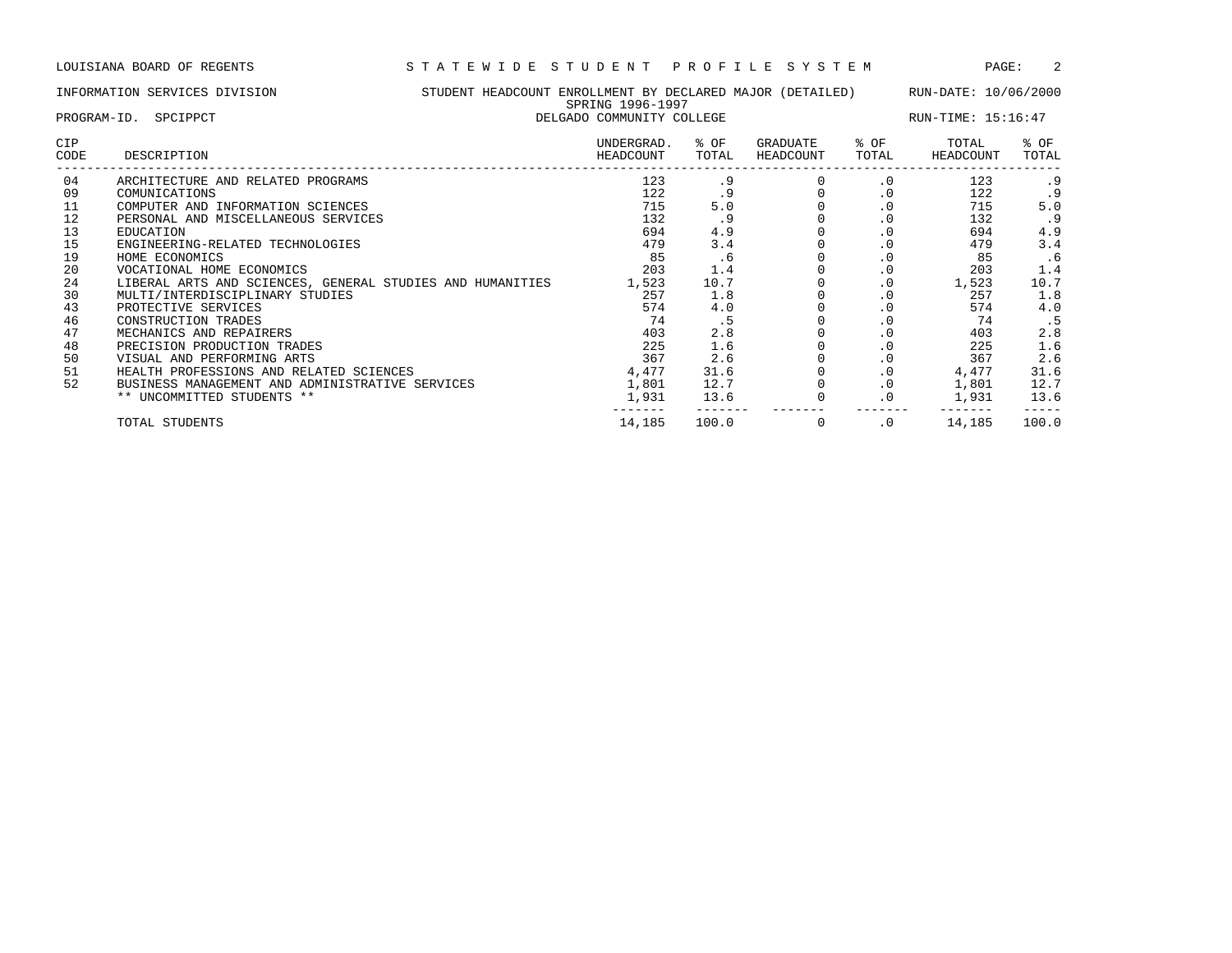|             | INFORMATION SERVICES DIVISION                             | STUDENT HEADCOUNT ENROLLMENT BY DECLARED MAJOR (DETAILED)<br>SPRING 1996-1997 |               |                       |               | RUN-DATE: 10/06/2000 |               |
|-------------|-----------------------------------------------------------|-------------------------------------------------------------------------------|---------------|-----------------------|---------------|----------------------|---------------|
|             | PROGRAM-ID. SPCIPPCT                                      | DELGADO COMMUNITY COLLEGE                                                     |               |                       |               | RUN-TIME: 15:16:47   |               |
| CIP<br>CODE | DESCRIPTION                                               | UNDERGRAD.<br>HEADCOUNT                                                       | % OF<br>TOTAL | GRADUATE<br>HEADCOUNT | % OF<br>TOTAL | TOTAL<br>HEADCOUNT   | % OF<br>TOTAL |
| 04          | ARCHITECTURE AND RELATED PROGRAMS                         | 123                                                                           | .9            |                       | $\cdot$ 0     | 123                  | . 9           |
| 09          | COMUNICATIONS                                             | 122                                                                           | . 9           |                       | $\cdot$ 0     | 122                  | . 9           |
| 11          | COMPUTER AND INFORMATION SCIENCES                         | 715                                                                           | 5.0           |                       | $\cdot$ 0     | 715                  | 5.0           |
| 12          | PERSONAL AND MISCELLANEOUS SERVICES                       | 132                                                                           | .9            |                       | $\cdot$ 0     | 132                  | .9            |
| 13          | EDUCATION                                                 | 694                                                                           | 4.9           |                       | $\cdot$ 0     | 694                  | 4.9           |
| 15          | ENGINEERING-RELATED TECHNOLOGIES                          | 479                                                                           | 3.4           |                       | $\cdot$ 0     | 479                  | 3.4           |
| 19          | HOME ECONOMICS                                            | 85                                                                            | .6            |                       | $\cdot$ 0     | 85                   | .6            |
| 20          | VOCATIONAL HOME ECONOMICS                                 | 203                                                                           | 1.4           |                       | $\cdot$ 0     | 203                  | 1.4           |
| 24          | LIBERAL ARTS AND SCIENCES, GENERAL STUDIES AND HUMANITIES | 1,523                                                                         | 10.7          |                       | $\cdot$ 0     | 1,523                | 10.7          |
| 30          | MULTI/INTERDISCIPLINARY STUDIES                           | 257                                                                           | 1.8           |                       | $\cdot$ 0     | 257                  | 1.8           |
| 43          | PROTECTIVE SERVICES                                       | 574                                                                           | 4.0           |                       | $\cdot$ 0     | 574                  | 4.0           |
| 46          | CONSTRUCTION TRADES                                       | 74                                                                            | .5            |                       | $\cdot$ 0     | 74                   | . 5           |
| 47          | MECHANICS AND REPAIRERS                                   | 403                                                                           | 2.8           |                       | $\cdot$ 0     | 403                  | 2.8           |
| 48          | PRECISION PRODUCTION TRADES                               | 225                                                                           | 1.6           |                       | $\cdot$ 0     | 225                  | 1.6           |
| 50          | VISUAL AND PERFORMING ARTS                                | 367                                                                           | 2.6           |                       | $\cdot$ 0     | 367                  | 2.6           |
| 51          | HEALTH PROFESSIONS AND RELATED SCIENCES                   | 4,477                                                                         | 31.6          |                       | $\cdot$ 0     | 4,477                | 31.6          |
| 52          | BUSINESS MANAGEMENT AND ADMINISTRATIVE SERVICES           | 1,801                                                                         | 12.7          |                       | $\cdot$ 0     | 1,801                | 12.7          |

\*\* UNCOMMITTED STUDENTS \*\* 1,931 13.6 0 .0 1,931 13.6

------- ------- ------- ------- ------- -----

TOTAL STUDENTS 14,185 100.0 0 .0 14,185 100.0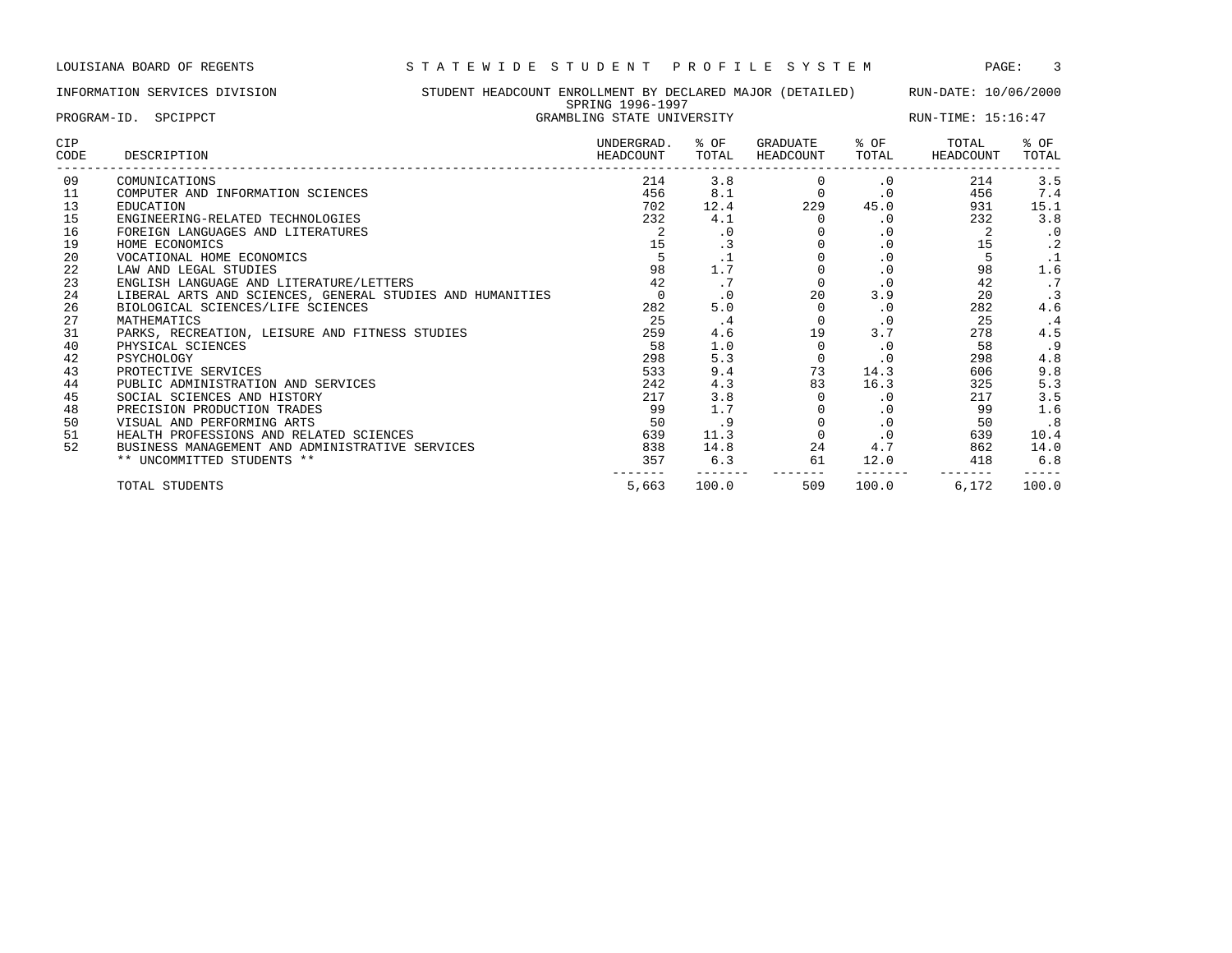| PROGRAM-ID. SPCIPPCT<br>GRAMBLING STATE UNIVERSITY<br><b>CIP</b><br>UNDERGRAD.<br>% OF<br>GRADUATE<br>% OF<br>TOTAL<br>CODE<br>DESCRIPTION<br>TOTAL<br>HEADCOUNT<br>HEADCOUNT<br>TOTAL<br>HEADCOUNT<br>214<br>3.8<br>09<br>214<br>COMUNICATIONS<br>$\cdot$ 0<br>8.1<br>11<br>456<br>$\mathbf 0$<br>$\cdot$ 0<br>456<br>COMPUTER AND INFORMATION SCIENCES<br>13<br>229<br>45.0<br>702<br>12.4<br>931<br>EDUCATION<br>15<br>232<br>232<br>4.1<br>ENGINEERING-RELATED TECHNOLOGIES<br>$\cdot$ 0<br>16<br>FOREIGN LANGUAGES AND LITERATURES<br>. 0<br>$\cdot$ 0<br>19<br>$\cdot$ 0<br>15<br>HOME ECONOMICS<br>15<br>. 3<br>20<br>$\cdot$ 0<br>VOCATIONAL HOME ECONOMICS<br>. .<br>22<br>1.7<br>98<br>98<br>$\cdot$ 0<br>LAW AND LEGAL STUDIES<br>23<br>42<br>42<br>.7<br>ENGLISH LANGUAGE AND LITERATURE/LETTERS<br>$\cdot$ 0<br>20<br>24<br>3.9<br>20<br>LIBERAL ARTS AND SCIENCES, GENERAL STUDIES AND HUMANITIES<br>$\cdot$ 0<br>26<br>282<br>5.0<br>282<br>BIOLOGICAL SCIENCES/LIFE SCIENCES<br>$\cdot$ 0<br>27<br>25<br>25<br>$\cdot$ 0<br>MATHEMATICS<br>. 4<br>31<br>3.7<br>259<br>4.6<br>19<br>278<br>PARKS, RECREATION, LEISURE AND FITNESS STUDIES<br>40<br>58<br>1.0<br>58<br>PHYSICAL SCIENCES<br>$\cdot$ 0<br>42<br>5.3<br>298<br>298<br>PSYCHOLOGY<br>$\cdot$ 0 | STUDENT HEADCOUNT ENROLLMENT BY DECLARED MAJOR (DETAILED)<br>INFORMATION SERVICES DIVISION | SPRING 1996-1997 |  |  | RUN-DATE: 10/06/2000<br>RUN-TIME: 15:16:47 |  |           |
|---------------------------------------------------------------------------------------------------------------------------------------------------------------------------------------------------------------------------------------------------------------------------------------------------------------------------------------------------------------------------------------------------------------------------------------------------------------------------------------------------------------------------------------------------------------------------------------------------------------------------------------------------------------------------------------------------------------------------------------------------------------------------------------------------------------------------------------------------------------------------------------------------------------------------------------------------------------------------------------------------------------------------------------------------------------------------------------------------------------------------------------------------------------------------------------------------------------------------------------------------------------------------|--------------------------------------------------------------------------------------------|------------------|--|--|--------------------------------------------|--|-----------|
|                                                                                                                                                                                                                                                                                                                                                                                                                                                                                                                                                                                                                                                                                                                                                                                                                                                                                                                                                                                                                                                                                                                                                                                                                                                                           |                                                                                            |                  |  |  |                                            |  |           |
|                                                                                                                                                                                                                                                                                                                                                                                                                                                                                                                                                                                                                                                                                                                                                                                                                                                                                                                                                                                                                                                                                                                                                                                                                                                                           |                                                                                            |                  |  |  |                                            |  | % OF      |
|                                                                                                                                                                                                                                                                                                                                                                                                                                                                                                                                                                                                                                                                                                                                                                                                                                                                                                                                                                                                                                                                                                                                                                                                                                                                           |                                                                                            |                  |  |  |                                            |  | TOTAL     |
|                                                                                                                                                                                                                                                                                                                                                                                                                                                                                                                                                                                                                                                                                                                                                                                                                                                                                                                                                                                                                                                                                                                                                                                                                                                                           |                                                                                            |                  |  |  |                                            |  | 3.5       |
|                                                                                                                                                                                                                                                                                                                                                                                                                                                                                                                                                                                                                                                                                                                                                                                                                                                                                                                                                                                                                                                                                                                                                                                                                                                                           |                                                                                            |                  |  |  |                                            |  | 7.4       |
|                                                                                                                                                                                                                                                                                                                                                                                                                                                                                                                                                                                                                                                                                                                                                                                                                                                                                                                                                                                                                                                                                                                                                                                                                                                                           |                                                                                            |                  |  |  |                                            |  | 15.1      |
|                                                                                                                                                                                                                                                                                                                                                                                                                                                                                                                                                                                                                                                                                                                                                                                                                                                                                                                                                                                                                                                                                                                                                                                                                                                                           |                                                                                            |                  |  |  |                                            |  | 3.8       |
|                                                                                                                                                                                                                                                                                                                                                                                                                                                                                                                                                                                                                                                                                                                                                                                                                                                                                                                                                                                                                                                                                                                                                                                                                                                                           |                                                                                            |                  |  |  |                                            |  | $\cdot$ 0 |
|                                                                                                                                                                                                                                                                                                                                                                                                                                                                                                                                                                                                                                                                                                                                                                                                                                                                                                                                                                                                                                                                                                                                                                                                                                                                           |                                                                                            |                  |  |  |                                            |  | $\cdot$ 2 |
|                                                                                                                                                                                                                                                                                                                                                                                                                                                                                                                                                                                                                                                                                                                                                                                                                                                                                                                                                                                                                                                                                                                                                                                                                                                                           |                                                                                            |                  |  |  |                                            |  | $\cdot$ 1 |
|                                                                                                                                                                                                                                                                                                                                                                                                                                                                                                                                                                                                                                                                                                                                                                                                                                                                                                                                                                                                                                                                                                                                                                                                                                                                           |                                                                                            |                  |  |  |                                            |  | 1.6       |
|                                                                                                                                                                                                                                                                                                                                                                                                                                                                                                                                                                                                                                                                                                                                                                                                                                                                                                                                                                                                                                                                                                                                                                                                                                                                           |                                                                                            |                  |  |  |                                            |  | .7        |
|                                                                                                                                                                                                                                                                                                                                                                                                                                                                                                                                                                                                                                                                                                                                                                                                                                                                                                                                                                                                                                                                                                                                                                                                                                                                           |                                                                                            |                  |  |  |                                            |  |           |
|                                                                                                                                                                                                                                                                                                                                                                                                                                                                                                                                                                                                                                                                                                                                                                                                                                                                                                                                                                                                                                                                                                                                                                                                                                                                           |                                                                                            |                  |  |  |                                            |  | 4.6       |
|                                                                                                                                                                                                                                                                                                                                                                                                                                                                                                                                                                                                                                                                                                                                                                                                                                                                                                                                                                                                                                                                                                                                                                                                                                                                           |                                                                                            |                  |  |  |                                            |  | . 4       |
|                                                                                                                                                                                                                                                                                                                                                                                                                                                                                                                                                                                                                                                                                                                                                                                                                                                                                                                                                                                                                                                                                                                                                                                                                                                                           |                                                                                            |                  |  |  |                                            |  | 4.5       |
|                                                                                                                                                                                                                                                                                                                                                                                                                                                                                                                                                                                                                                                                                                                                                                                                                                                                                                                                                                                                                                                                                                                                                                                                                                                                           |                                                                                            |                  |  |  |                                            |  | . 9       |
|                                                                                                                                                                                                                                                                                                                                                                                                                                                                                                                                                                                                                                                                                                                                                                                                                                                                                                                                                                                                                                                                                                                                                                                                                                                                           |                                                                                            |                  |  |  |                                            |  | 4.8       |
| 73<br>43<br>533<br>9.4<br>14.3<br>606<br>PROTECTIVE SERVICES                                                                                                                                                                                                                                                                                                                                                                                                                                                                                                                                                                                                                                                                                                                                                                                                                                                                                                                                                                                                                                                                                                                                                                                                              |                                                                                            |                  |  |  |                                            |  | 9.8       |
| 44<br>242<br>4.3<br>83<br>325<br>16.3<br>PUBLIC ADMINISTRATION AND SERVICES                                                                                                                                                                                                                                                                                                                                                                                                                                                                                                                                                                                                                                                                                                                                                                                                                                                                                                                                                                                                                                                                                                                                                                                               |                                                                                            |                  |  |  |                                            |  | 5.3       |
| 45<br>3.8<br>217<br>217<br>SOCIAL SCIENCES AND HISTORY<br>$\cdot$ 0<br>$\sim$ $\sim$<br>$\sim$ $\sim$<br>-------------------------------                                                                                                                                                                                                                                                                                                                                                                                                                                                                                                                                                                                                                                                                                                                                                                                                                                                                                                                                                                                                                                                                                                                                  |                                                                                            |                  |  |  |                                            |  | 3.5       |

| 48 | PRECISION PRODUCTION TRADES                     | 99    |             |     |       | g g   |       |
|----|-------------------------------------------------|-------|-------------|-----|-------|-------|-------|
| 50 | VISUAL AND PERFORMING ARTS                      | 50    |             |     |       |       |       |
|    | HEALTH PROFESSIONS AND RELATED SCIENCES         | 639   | <u>++ +</u> |     |       | 639   | 10.4  |
| 52 | BUSINESS MANAGEMENT AND ADMINISTRATIVE SERVICES | 838   | 14.8        | 24  |       | 862   | 14.0  |
|    | ** UNCOMMITTED STUDENTS **                      | 357   |             | 61  | 12.0  | 418   | 6.8   |
|    |                                                 |       |             |     |       |       |       |
|    | STUDENTS<br>TOTAL                               | 5,663 | 100.0       | 509 | 100.0 | 6,172 | 100.0 |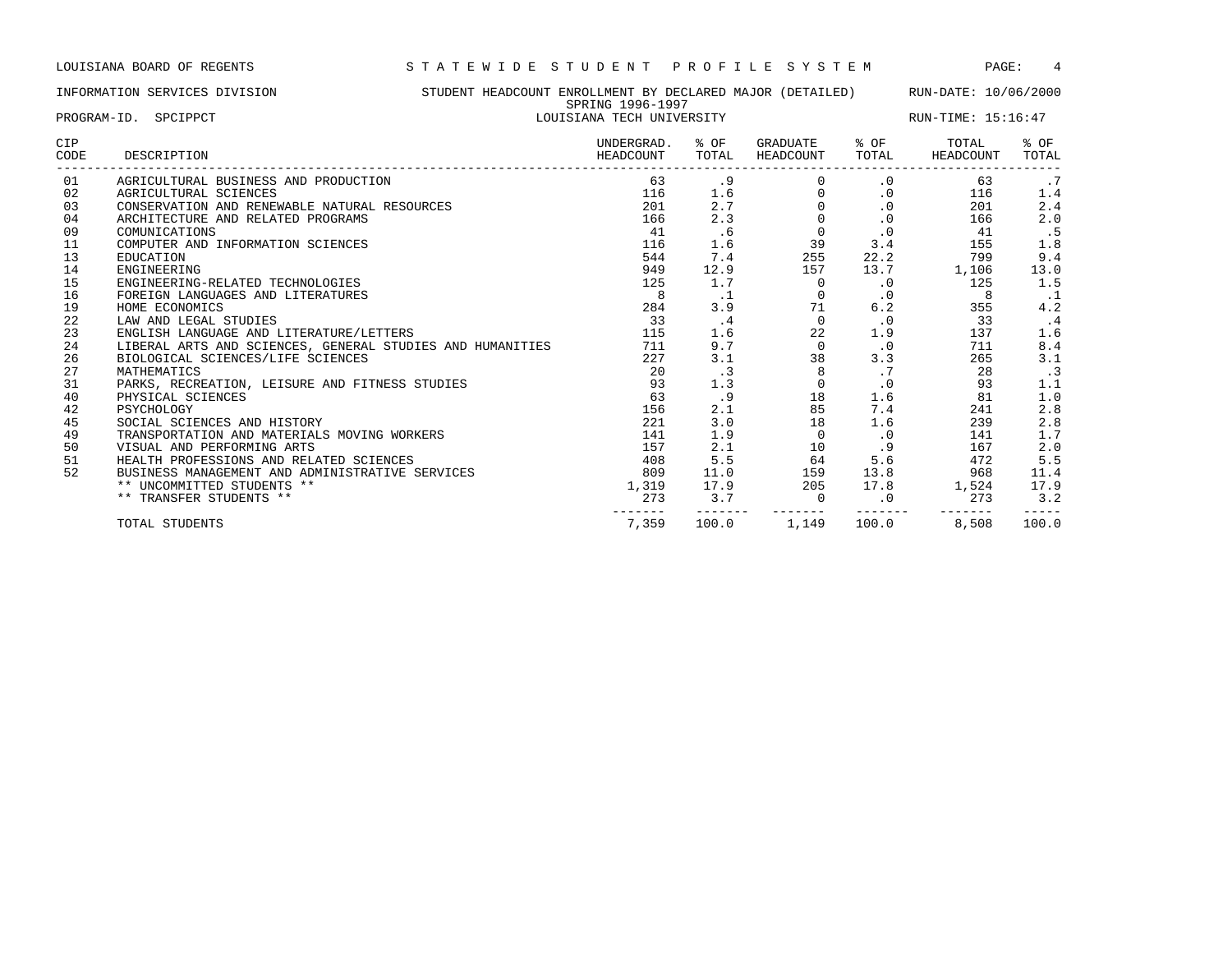### INFORMATION SERVICES DIVISION STUDENT HEADCOUNT ENROLLMENT BY DECLARED MAJOR (DETAILED) RUN-DATE: 10/06/2000 SPRING 1996-1997

------- ------- ------- ------- ------- -----

| PROGRAM-ID. SPCIPPCT |                                                           | LOUISIANA TECH UNIVERSITY |                            |                            |           | RUN-TIME: 15:16:47 |               |  |  |
|----------------------|-----------------------------------------------------------|---------------------------|----------------------------|----------------------------|-----------|--------------------|---------------|--|--|
| <b>CIP</b><br>CODE   | DESCRIPTION                                               |                           | % OF<br>HEADCOUNT<br>TOTAL | GRADUATE % OF<br>HEADCOUNT | TOTAL     | TOTAL<br>HEADCOUNT | % OF<br>TOTAL |  |  |
| 01                   | AGRICULTURAL BUSINESS AND PRODUCTION                      | 63                        | .9                         |                            | .0        | 63                 | .7            |  |  |
| 02                   | AGRICULTURAL SCIENCES                                     | 116                       | 1.6                        |                            | .0        | 116                | 1.4           |  |  |
| 03                   | CONSERVATION AND RENEWABLE NATURAL RESOURCES              | 201                       | 2.7                        |                            | $\cdot$ 0 | 201                | 2.4           |  |  |
| 04                   | ARCHITECTURE AND RELATED PROGRAMS                         | 166                       | 2.3                        |                            | .0        | 166                | 2.0           |  |  |
| 09                   | COMUNICATIONS                                             | 41                        | . 6                        |                            | $\cdot$ 0 | 41                 | .5            |  |  |
| 11                   | COMPUTER AND INFORMATION SCIENCES                         | 116                       | 1.6                        | 39                         | 3.4       | 155                | 1.8           |  |  |
| 13                   | EDUCATION                                                 | 544                       | 7.4                        | 255                        | 22.2      | 799                | 9.4           |  |  |
| 14                   | ENGINEERING                                               | 949                       | 12.9                       | 157                        | 13.7      | 1,106              | 13.0          |  |  |
| 15                   | ENGINEERING-RELATED TECHNOLOGIES                          | 125                       | 1.7                        | $\Omega$                   | .0        | 125                | 1.5           |  |  |
| 16                   | FOREIGN LANGUAGES AND LITERATURES                         |                           | . 1                        |                            | $\cdot$ 0 | 8                  | $\cdot$ .1    |  |  |
| 19                   | HOME ECONOMICS                                            | 284                       | 3.9                        | 71                         | 6.2       | 355                | 4.2           |  |  |
| 22                   | LAW AND LEGAL STUDIES                                     | 33                        | $\cdot$ 4                  |                            | $\cdot$ 0 | 33                 | $\cdot$ 4     |  |  |
| 23                   | ENGLISH LANGUAGE AND LITERATURE/LETTERS                   | 115                       | 1.6                        | 22                         | 1.9       | 137                | 1.6           |  |  |
| 24                   | LIBERAL ARTS AND SCIENCES, GENERAL STUDIES AND HUMANITIES | 711                       | 9.7                        |                            | $\cdot$ 0 | 711                | 8.4           |  |  |
| 26                   | BIOLOGICAL SCIENCES/LIFE SCIENCES                         | 227                       | 3.1                        | 38                         | 3.3       | 265                | 3.1           |  |  |
| 27                   | MATHEMATICS                                               | 20                        | $\cdot$ 3                  |                            | .7        | 28                 | $\cdot$ 3     |  |  |
| 31                   | PARKS, RECREATION, LEISURE AND FITNESS STUDIES            | 93                        | 1.3                        |                            | $\cdot$ 0 | 93                 | 1.1           |  |  |
| 40                   | PHYSICAL SCIENCES                                         | 63                        | . 9                        | 18                         | 1.6       | 81                 | 1.0           |  |  |
| 42                   | PSYCHOLOGY                                                | 156                       | 2.1                        | 85                         | 7.4       | 241                | 2.8           |  |  |
| 45                   | SOCIAL SCIENCES AND HISTORY                               | 221                       | 3.0                        | 18                         | 1.6       | 239                | 2.8           |  |  |
| 49                   | TRANSPORTATION AND MATERIALS MOVING WORKERS               | 141                       | 1.9                        |                            | $\cdot$ 0 | 141                | 1.7           |  |  |
| 50                   | VISUAL AND PERFORMING ARTS                                | 157                       | 2.1                        | 10 <sub>1</sub>            | .9        | 167                | 2.0           |  |  |
| 51                   | HEALTH PROFESSIONS AND RELATED SCIENCES                   | 408                       | 5.5                        | 64                         | 5.6       | 472                | 5.5           |  |  |
| 52                   | BUSINESS MANAGEMENT AND ADMINISTRATIVE SERVICES           | 809                       | 11.0                       | 159                        | 13.8      | 968                | 11.4          |  |  |

\*\* UNCOMMITTED STUDENTS \*\* 1,319 17.9 205 17.8 1,524 17.9 \*\* TRANSFER STUDENTS \*\* 273 273 3.2 273 3.2 273 3.2

TOTAL STUDENTS 7,359 100.0 1,149 100.0 8,508 100.0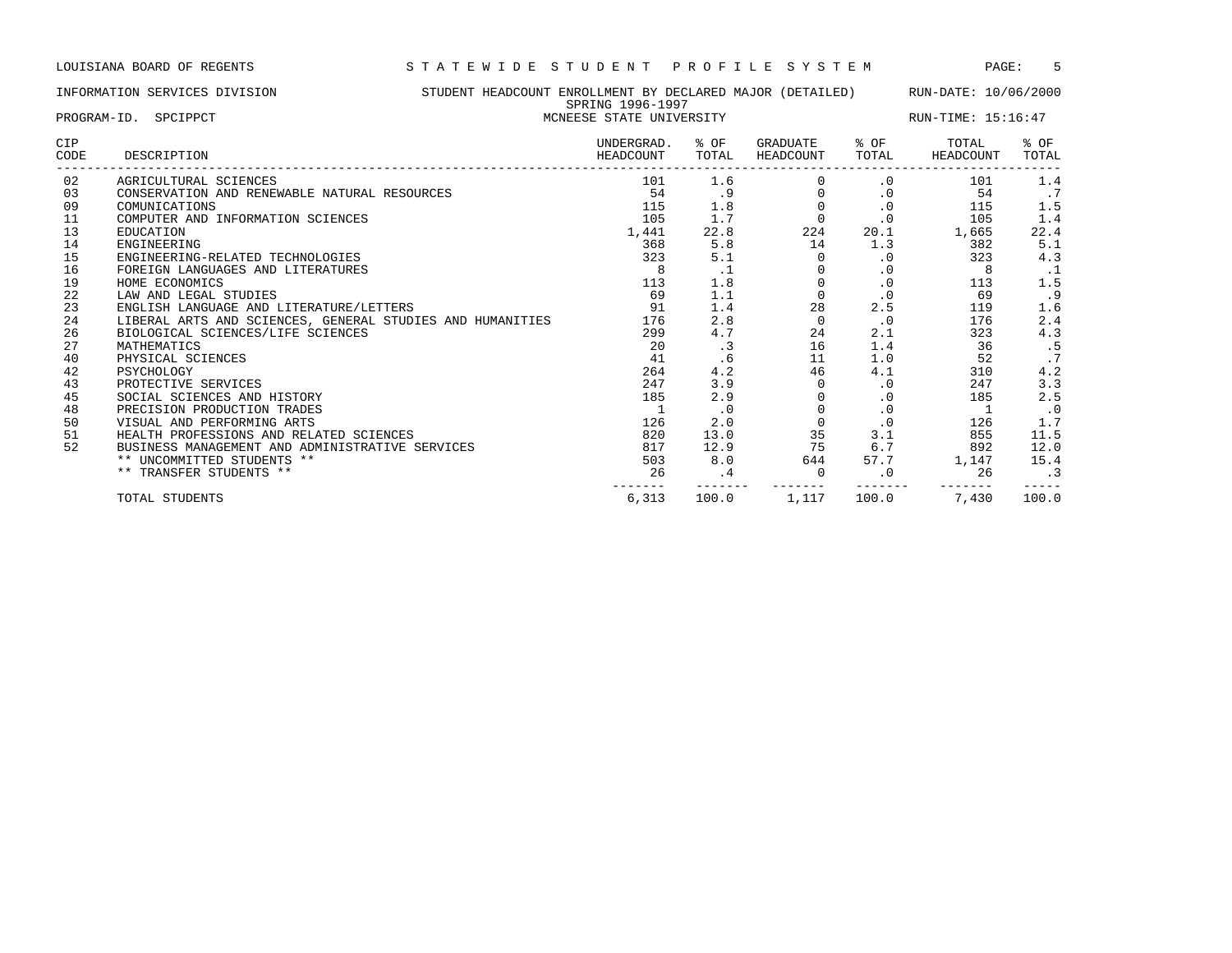INFORMATION SERVICES DIVISION STUDENT HEADCOUNT ENROLLMENT BY DECLARED MAJOR (DETAILED) RUN-DATE: 10/06/2000 SPRING 1996-1997

| PROGRAM-ID. SPCIPPCT |                                                           | UFILING IJJV IJJI<br>MCNEESE STATE UNIVERSITY |               | RUN-TIME: 15:16:47    |               |                    |               |
|----------------------|-----------------------------------------------------------|-----------------------------------------------|---------------|-----------------------|---------------|--------------------|---------------|
| CIP<br>CODE          | DESCRIPTION                                               | UNDERGRAD.<br>HEADCOUNT                       | % OF<br>TOTAL | GRADUATE<br>HEADCOUNT | % OF<br>TOTAL | TOTAL<br>HEADCOUNT | % OF<br>TOTAL |
| 02                   | AGRICULTURAL SCIENCES                                     | 101                                           | 1.6           |                       | $\cdot$ 0     | 101                | 1.4           |
| 03                   | CONSERVATION AND RENEWABLE NATURAL RESOURCES              | 54                                            |               |                       | $\cdot$ 0     | 54                 | $\cdot$ 7     |
| 09                   | COMUNICATIONS                                             | 115                                           | 1.8           |                       | $\cdot$ 0     | 115                | 1.5           |
| 11                   | COMPUTER AND INFORMATION SCIENCES                         | 105                                           | 1.7           | $\Omega$              | $\cdot$ 0     | 105                | 1.4           |
| 13                   | EDUCATION                                                 | 1,441                                         | 22.8          | 224                   | 20.1          | 1,665              | 22.4          |
| 14                   | ENGINEERING                                               | 368                                           | 5.8           | 14                    | 1.3           | 382                | 5.1           |
| 15                   | ENGINEERING-RELATED TECHNOLOGIES                          | 323                                           | 5.1           |                       | $\cdot$ 0     | 323                | 4.3           |
| 16                   | FOREIGN LANGUAGES AND LITERATURES                         | 8                                             | $\cdot$ 1     |                       | $\cdot$ 0     | 8                  | . 1           |
| 19                   | HOME ECONOMICS                                            | 113                                           | 1.8           |                       | $\cdot$ 0     | 113                | 1.5           |
| 22                   | LAW AND LEGAL STUDIES                                     | 69                                            | 1.1           | $\Omega$              | $\cdot$ 0     | 69                 | .9            |
| 23                   | ENGLISH LANGUAGE AND LITERATURE/LETTERS                   | 91                                            | 1.4           | 28                    | 2.5           | 119                | 1.6           |
| 24                   | LIBERAL ARTS AND SCIENCES, GENERAL STUDIES AND HUMANITIES | 176                                           | 2.8           | $\Omega$              | $\cdot$ 0     | 176                | 2.4           |
| 26                   | BIOLOGICAL SCIENCES/LIFE SCIENCES                         | 299                                           | 4.7           | 24                    | 2.1           | 323                | 4.3           |
| 27                   | MATHEMATICS                                               | 20                                            | $\cdot$ 3     | 16                    | 1.4           | 36                 | .5            |
| 40                   | PHYSICAL SCIENCES                                         | 41                                            | .6            | 11                    | 1.0           | 52                 | .7            |
| 42                   | PSYCHOLOGY                                                | 264                                           | 4.2           | 46                    | 4.1           | 310                | 4.2           |
| 43                   | PROTECTIVE SERVICES                                       | 247                                           | 3.9           |                       | $\cdot$ 0     | 247                | 3.3           |
| 45                   | SOCIAL SCIENCES AND HISTORY                               | 185                                           | 2.9           |                       | $\cdot$ 0     | 185                | 2.5           |
| 48                   | PRECISION PRODUCTION TRADES                               |                                               | $\cdot$ 0     |                       | $\cdot$ 0     | $\overline{1}$     | $\cdot$ 0     |
| 50                   | VISUAL AND PERFORMING ARTS                                | 126                                           | 2.0           | $\Omega$              | $\cdot$ 0     | 126                | 1.7           |
| 51                   | HEALTH PROFESSIONS AND RELATED SCIENCES                   | 820                                           | 13.0          | 35                    | 3.1           | 855                | 11.5          |
| 52                   | BUSINESS MANAGEMENT AND ADMINISTRATIVE SERVICES           | 817                                           | 12.9          | 75                    | 6.7           | 892                | 12.0          |
|                      | ** UNCOMMITTED STUDENTS **                                | 503                                           | 8.0           | 644                   | 57.7          | 1,147              | 15.4          |
|                      | ** TRANSFER STUDENTS **                                   | 26                                            | $\cdot$ 4     | $\overline{0}$        | $\cdot$ 0     | 26                 | $\cdot$ 3     |
|                      | TOTAL STUDENTS                                            | 6,313                                         | 100.0         | 1,117                 | 100.0         | 7,430              | 100.0         |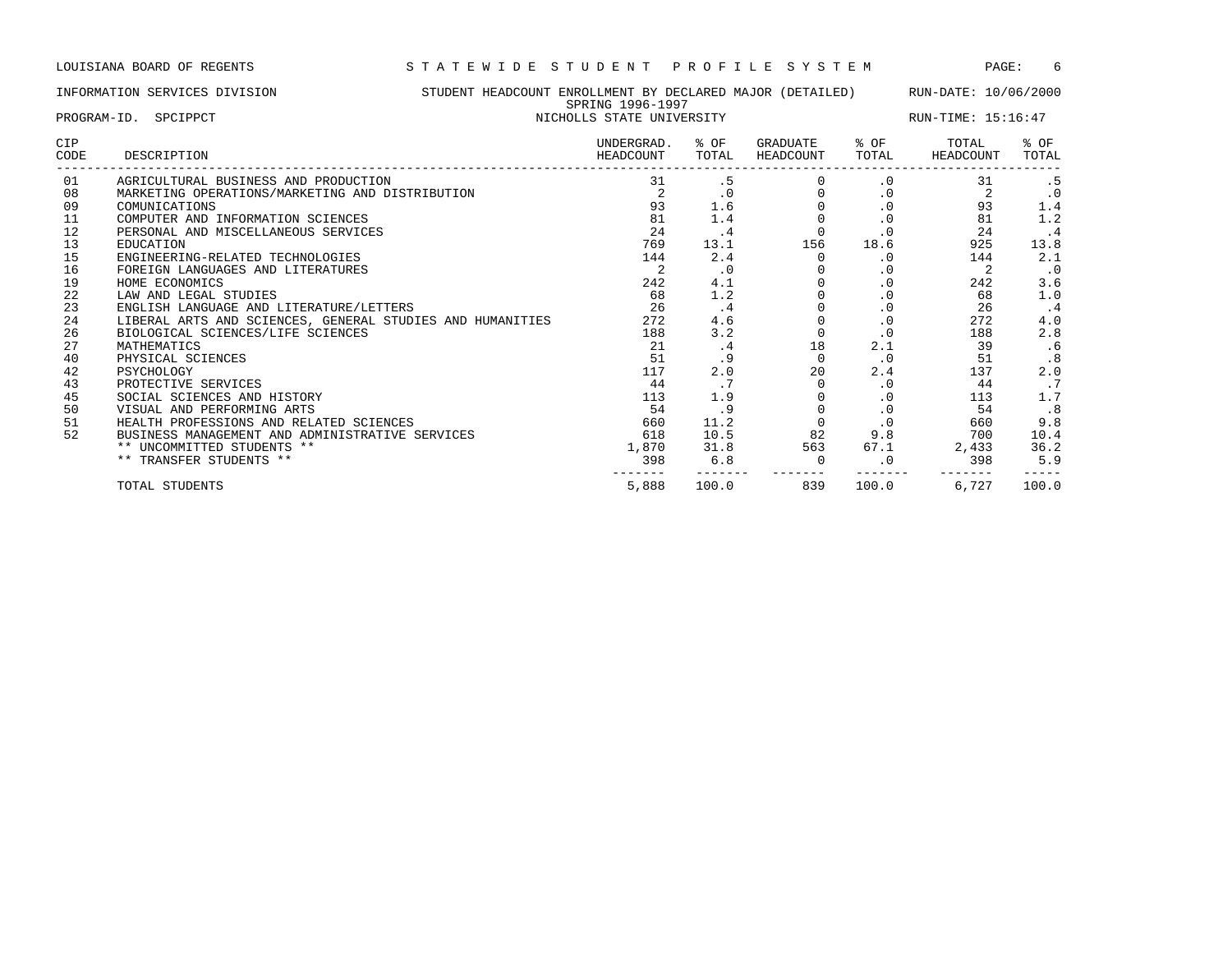|                      | INFORMATION SERVICES DIVISION                                                                                                                 | STUDENT HEADCOUNT ENROLLMENT BY DECLARED MAJOR (DETAILED)<br>SPRING 1996-1997 |                           | RUN-DATE: 10/06/2000 |                       |                                                  |                    |                                |
|----------------------|-----------------------------------------------------------------------------------------------------------------------------------------------|-------------------------------------------------------------------------------|---------------------------|----------------------|-----------------------|--------------------------------------------------|--------------------|--------------------------------|
|                      | PROGRAM-ID. SPCIPPCT                                                                                                                          |                                                                               | NICHOLLS STATE UNIVERSITY |                      | RUN-TIME: 15:16:47    |                                                  |                    |                                |
| <b>CIP</b><br>CODE   | DESCRIPTION                                                                                                                                   |                                                                               | UNDERGRAD.<br>HEADCOUNT   | % OF<br>TOTAL        | GRADUATE<br>HEADCOUNT | % OF<br>TOTAL                                    | TOTAL<br>HEADCOUNT | % OF<br>TOTAL                  |
| 01<br>08<br>09<br>11 | AGRICULTURAL BUSINESS AND PRODUCTION<br>MARKETING OPERATIONS/MARKETING AND DISTRIBUTION<br>COMUNICATIONS<br>COMPUTER AND INFORMATION SCIENCES |                                                                               | 31<br>2<br>93<br>81       | . 5<br>1.6<br>1.4    |                       | $\cdot$ 0<br>$\cdot$ 0<br>$\cdot$ 0<br>$\cdot$ 0 | 31<br>93<br>81     | . 5<br>$\cdot$ 0<br>1.4<br>1.2 |
| 12<br>13             | PERSONAL AND MISCELLANEOUS SERVICES<br>EDUCATION                                                                                              |                                                                               | 24<br>769                 | $\cdot$ 4<br>13.1    | $\Omega$<br>156       | $\cdot$ 0<br>18.6                                | 24<br>925          | $\cdot$ 4<br>13.8              |
| 15<br>16             | ENGINEERING-RELATED TECHNOLOGIES<br>FOREIGN LANGUAGES AND LITERATURES                                                                         |                                                                               | 144                       | 2.4<br>$\cdot$ 0     |                       | $\cdot$ 0<br>$\cdot$ 0                           | 144                | 2.1<br>$\cdot$ 0               |
| 19<br>22<br>23       | HOME ECONOMICS<br>LAW AND LEGAL STUDIES<br>ENGLISH LANGUAGE AND LITERATURE/LETTERS                                                            |                                                                               | 242<br>68<br>26           | 4.1<br>1.2<br>.4     |                       | $\cdot$ 0<br>$\cdot$ 0<br>$\cdot$ 0              | 242<br>68<br>26    | 3.6<br>1.0<br>$\cdot$ 4        |
| 24<br>26             | LIBERAL ARTS AND SCIENCES, GENERAL STUDIES AND HUMANITIES<br>BIOLOGICAL SCIENCES/LIFE SCIENCES                                                |                                                                               | 272<br>188                | 4.6<br>3.2           |                       | $\cdot$ 0<br>$\cdot$ 0                           | 272<br>188         | 4.0<br>2.8                     |
| 27<br>40             | MATHEMATICS<br>PHYSICAL SCIENCES                                                                                                              |                                                                               | 21<br>51                  | .4<br>.9             | 18                    | 2.1<br>$\cdot$ 0                                 | 39<br>51           | .6<br>.8                       |
| 42<br>43<br>45       | PSYCHOLOGY<br>PROTECTIVE SERVICES<br>SOCIAL SCIENCES AND HISTORY                                                                              |                                                                               | 117<br>44<br>113          | 2.0<br>.7<br>1.9     | 20                    | 2.4<br>$\cdot$ 0<br>$\cdot$ 0                    | 137<br>44<br>113   | 2.0<br>.7<br>1.7               |
| 50<br>51             | VISUAL AND PERFORMING ARTS<br>HEALTH PROFESSIONS AND RELATED SCIENCES                                                                         |                                                                               | 54<br>660                 | . 9<br>11.2          |                       | $\cdot$ 0<br>$\cdot$ 0                           | 54<br>660          | .8<br>9.8                      |
| 52                   | BUSINESS MANAGEMENT AND ADMINISTRATIVE SERVICES                                                                                               |                                                                               | 618                       | 10.5                 | 82                    | 9.8                                              | 700                | 10.4                           |

\*\* UNCOMMITTED STUDENTS \*\* 1,870 31.8 563 67.1 2,433 36.2 \*\* TRANSFER STUDENTS \*\* 398 6.8 0 .0 398 5.9

------- ------- ------- ------- ------- -----

TOTAL STUDENTS 5,888 100.0 839 100.0 6,727 100.0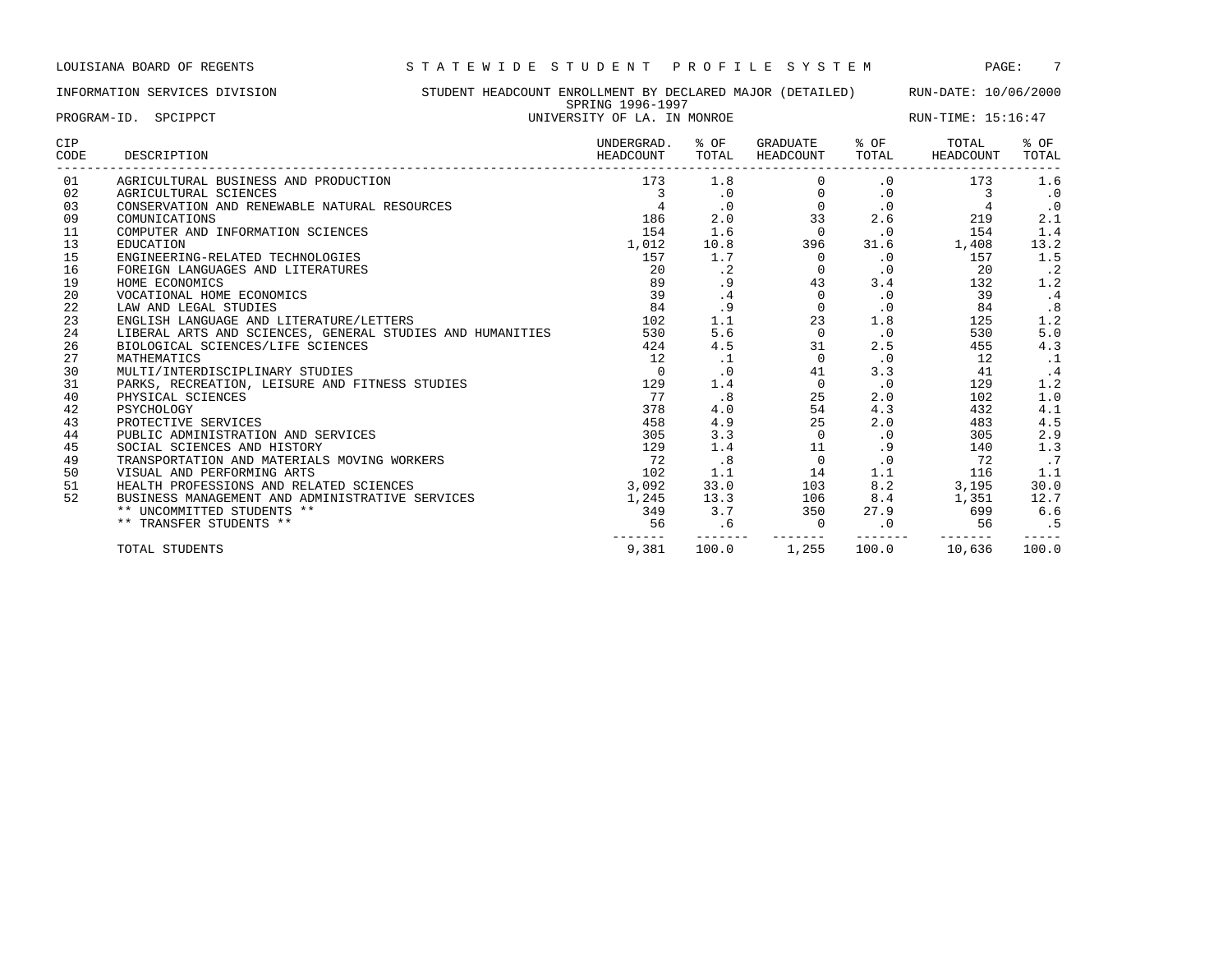INFORMATION SERVICES DIVISION STUDENT HEADCOUNT ENROLLMENT BY DECLARED MAJOR (DETAILED) RUN-DATE: 10/06/2000 SPRING 1996-1997 PROGRAM-ID. SPCIPPCT **EXAM-ID.** SPEIPPCT **EXAM-ID.** SPEIP START OF LA. IN MONROE RUN-TIME: 15:16:47

| CIP<br>CODE | DESCRIPTION                                               | UNDERGRAD.<br>HEADCOUNT | % OF<br>TOTAL | GRADUATE<br>HEADCOUNT | % OF<br>TOTAL | TOTAL<br>HEADCOUNT | % OF<br>TOTAL |
|-------------|-----------------------------------------------------------|-------------------------|---------------|-----------------------|---------------|--------------------|---------------|
| 01          | AGRICULTURAL BUSINESS AND PRODUCTION                      | 173                     | 1.8           |                       | $\cdot$ 0     | 173                | 1.6           |
| 02          | AGRICULTURAL SCIENCES                                     | 3                       | $\cdot$ 0     | $\Omega$              | $\cdot$ 0     | 3                  | .0            |
| 03          | CONSERVATION AND RENEWABLE NATURAL RESOURCES              |                         | $\cdot$ 0     | $\Omega$              | $\cdot$ 0     |                    | .0            |
| 09          | COMUNICATIONS                                             | 186                     | 2.0           | 33                    | 2.6           | 219                | 2.1           |
| 11          | COMPUTER AND INFORMATION SCIENCES                         | 154                     | 1.6           | $\mathbf 0$           | $\cdot$ 0     | 154                | 1.4           |
| 13          | <b>EDUCATION</b>                                          | 1,012                   | 10.8          | 396                   | 31.6          | 1,408              | 13.2          |
| 15          | ENGINEERING-RELATED TECHNOLOGIES                          | 157                     | 1.7           | $\Omega$              | $\cdot$ 0     | 157                | 1.5           |
| 16          | FOREIGN LANGUAGES AND LITERATURES                         | 20                      | $\cdot$ 2     | $\Omega$              | $\cdot$ 0     | 20                 | $\cdot$ 2     |
| 19          | HOME ECONOMICS                                            | 89                      | . 9           | 43                    | 3.4           | 132                | 1.2           |
| 20          | VOCATIONAL HOME ECONOMICS                                 | 39                      | $\cdot$ 4     | $\Omega$              | .0            | 39                 | .4            |
| 22          | LAW AND LEGAL STUDIES                                     | 84                      | .9            | $\Omega$              | $\cdot$ 0     | 84                 | .8            |
| 23          | ENGLISH LANGUAGE AND LITERATURE/LETTERS                   | 102                     | 1.1           | 23                    | 1.8           | 125                | 1.2           |
| 24          | LIBERAL ARTS AND SCIENCES, GENERAL STUDIES AND HUMANITIES | 530                     | 5.6           | $\Omega$              | $\cdot$ 0     | 530                | 5.0           |
| 26          | BIOLOGICAL SCIENCES/LIFE SCIENCES                         | 424                     | 4.5           | 31                    | 2.5           | 455                | 4.3           |
| 27          | MATHEMATICS                                               | 12                      | $\cdot$ 1     | $\Omega$              | $\cdot$ 0     | 12                 |               |
| 30          | MULTI/INTERDISCIPLINARY STUDIES                           | $\Omega$                | $\cdot$ 0     | 41                    | 3.3           | 41                 | $\cdot$ 4     |
| 31          | PARKS, RECREATION, LEISURE AND FITNESS STUDIES            | 129                     | 1.4           | $\Omega$              | $\cdot$ 0     | 129                | 1.2           |
| 40          | PHYSICAL SCIENCES                                         | 77                      | .8            | 25                    | 2.0           | 102                | 1.0           |
| 42          | PSYCHOLOGY                                                | 378                     | 4.0           | 54                    | 4.3           | 432                | 4.1           |
| 43          | PROTECTIVE SERVICES                                       | 458                     | 4.9           | 25                    | 2.0           | 483                | 4.5           |
| 44          | PUBLIC ADMINISTRATION AND SERVICES                        | 305                     | 3.3           | $\Omega$              | $\cdot$ 0     | 305                | 2.9           |
| 45          | SOCIAL SCIENCES AND HISTORY                               | 129                     | 1.4           | 11                    | .9            | 140                | 1.3           |
| 49          | TRANSPORTATION AND MATERIALS MOVING WORKERS               | 72                      | .8            | $\mathbf 0$           | $\cdot$ 0     | 72                 | .7            |
| 50          | VISUAL AND PERFORMING ARTS                                | 102                     | 1.1           | 14                    | 1.1           | 116                | 1.1           |
| 51          | HEALTH PROFESSIONS AND RELATED SCIENCES                   | 3,092                   | 33.0          | 103                   | 8.2           | 3,195              | 30.0          |
| 52          | BUSINESS MANAGEMENT AND ADMINISTRATIVE SERVICES           | 1,245                   | 13.3          | 106                   | 8.4           | 1,351              | 12.7          |
|             | ** UNCOMMITTED STUDENTS **                                | 349                     | 3.7           | 350                   | 27.9          | 699                | 6.6           |
|             | ** TRANSFER STUDENTS **                                   | 56                      | .6            | $\Omega$              | $\cdot$ 0     | 56                 | . 5           |
|             | TOTAL STUDENTS                                            | 9,381                   | 100.0         | 1,255                 | 100.0         | 10,636             | 100.0         |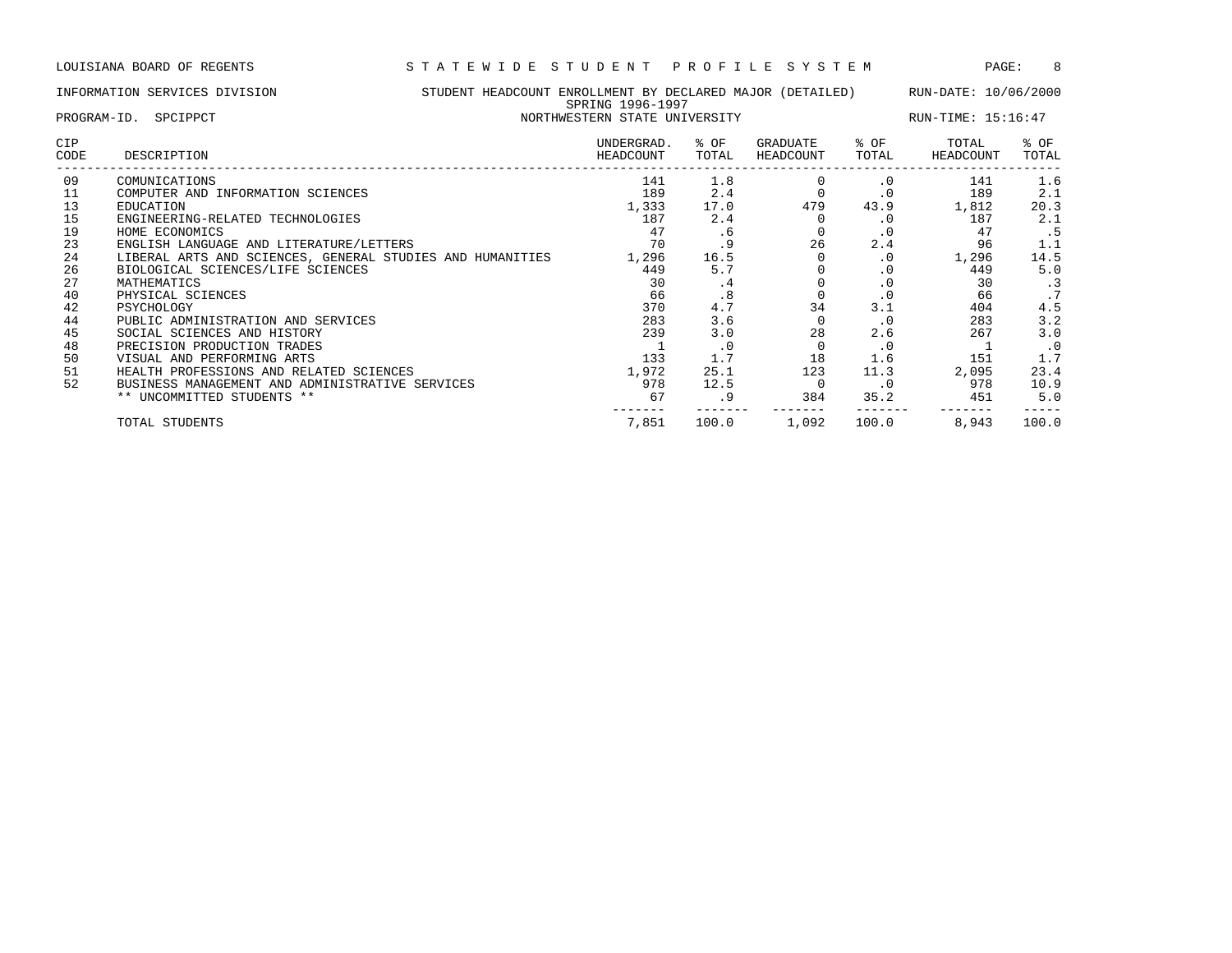## INFORMATION SERVICES DIVISION STUDENT HEADCOUNT ENROLLMENT BY DECLARED MAJOR (DETAILED) RUN-DATE: 10/06/2000 SPRING 1996-1997

| PROGRAM-ID. SPCIPPCT |                                                           | NORTHWESTERN STATE UNIVERSITY |               |                       | RUN-TIME: 15:16:47 |                    |               |  |
|----------------------|-----------------------------------------------------------|-------------------------------|---------------|-----------------------|--------------------|--------------------|---------------|--|
| <b>CIP</b><br>CODE   | DESCRIPTION                                               | UNDERGRAD.<br>HEADCOUNT       | % OF<br>TOTAL | GRADUATE<br>HEADCOUNT | % OF<br>TOTAL      | TOTAL<br>HEADCOUNT | % OF<br>TOTAL |  |
| 09                   | COMUNICATIONS                                             | 141                           | 1.8           |                       | $\cdot$ 0          | 141                | 1.6           |  |
| 11                   | COMPUTER AND INFORMATION SCIENCES                         | 189                           | 2.4           |                       | $\cdot$ 0          | 189                | 2.1           |  |
| 13                   | EDUCATION                                                 | 1,333                         | 17.0          | 479                   | 43.9               | 1,812              | 20.3          |  |
| 15                   | ENGINEERING-RELATED TECHNOLOGIES                          | 187                           | 2.4           |                       |                    | 187                | 2.1           |  |
| 19                   | HOME ECONOMICS                                            | 47                            | . 6           |                       | . 0                | 47                 | .5            |  |
| 23                   | ENGLISH LANGUAGE AND LITERATURE/LETTERS                   | 70                            | . 9           | 26                    | 2.4                | 96                 | 1.1           |  |
| 24                   | LIBERAL ARTS AND SCIENCES, GENERAL STUDIES AND HUMANITIES | 1,296                         | 16.5          |                       | $\cdot$ 0          | 1,296              | 14.5          |  |
| 26                   | BIOLOGICAL SCIENCES/LIFE SCIENCES                         | 449                           | 5.7           |                       | $\cdot$ 0          | 449                | 5.0           |  |
| 27                   | MATHEMATICS                                               | 30                            | .4            |                       | $\cdot$ 0          | 30                 | $\cdot$ 3     |  |
| 40                   | PHYSICAL SCIENCES                                         | 66                            | .8            |                       | $\cdot$ 0          | 66                 | .7            |  |
| 42                   | PSYCHOLOGY                                                | 370                           | 4.7           | 34                    | 3.1                | 404                | 4.5           |  |
| 44                   | PUBLIC ADMINISTRATION AND SERVICES                        | 283                           | 3.6           |                       | $\cdot$ 0          | 283                | 3.2           |  |
| 45                   | SOCIAL SCIENCES AND HISTORY                               | 239                           | 3.0           | 28                    | 2.6                | 267                | 3.0           |  |
| 48                   | PRECISION PRODUCTION TRADES                               |                               | $\cdot$ 0     |                       | $\cdot$ 0          |                    | $\cdot$ 0     |  |
| 50                   | VISUAL AND PERFORMING ARTS                                | 133                           | 1.7           | 18                    | 1.6                | 151                | 1.7           |  |
| 51                   | HEALTH PROFESSIONS AND RELATED SCIENCES                   | 1,972                         | 25.1          | 123                   | 11.3               | 2,095              | 23.4          |  |
| 52                   | BUSINESS MANAGEMENT AND ADMINISTRATIVE SERVICES           | 978                           | 12.5          |                       | $\cdot$ 0          | 978                | 10.9          |  |
|                      | ** UNCOMMITTED STUDENTS **                                | 67                            | . 9           | 384                   | 35.2               | 451                | 5.0           |  |
|                      | TOTAL STUDENTS                                            | 7,851                         | 100.0         | 1,092                 | 100.0              | 8,943              | 100.0         |  |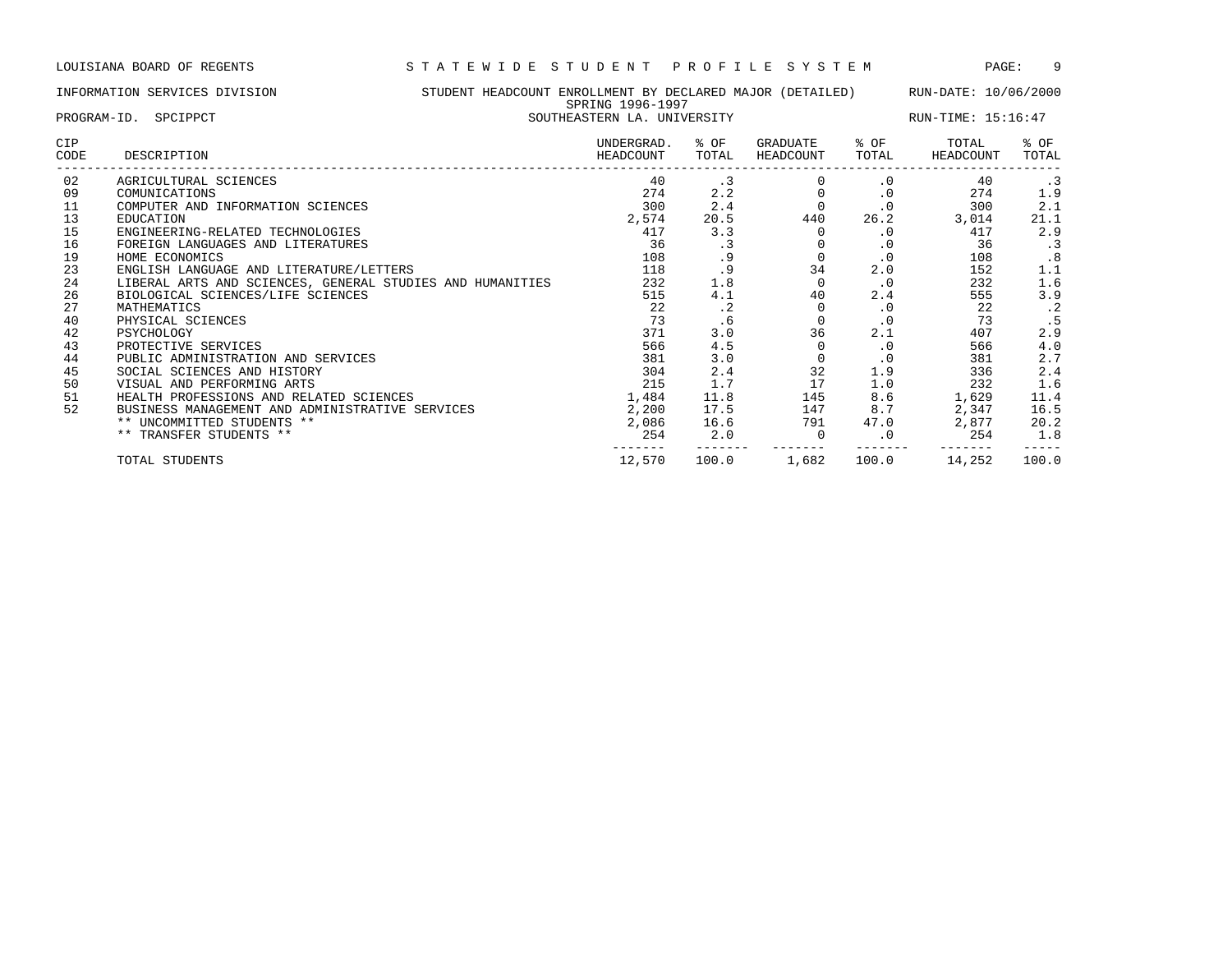------- ------- ------- ------- ------- -----

## INFORMATION SERVICES DIVISION STUDENT HEADCOUNT ENROLLMENT BY DECLARED MAJOR (DETAILED) RUN-DATE: 10/06/2000 SPRING 1996-1997 PROGRAM-ID. SPCIPPCT SOUTHEASTERN LA UNIVERSITY SOUTHEASTERN AND SOUTHEASTERN LA UNIVERSITY CIP UNDERGRAD. % OF GRADUATE % OF TOTAL % OF CODE DESCRIPTION HEADCOUNT TOTAL HEADCOUNT TOTAL HEADCOUNT TOTAL ------------------------------------------------------------------------------------------------------------------------------------ 02 AGRICULTURAL SCIENCES 40 .3 0 .0 40 .3 09 COMUNICATIONS 274 2.2 0 .0 274 1.9 11 COMPUTER AND INFORMATION SCIENCES 6 6 2.4 2.4 300 2.1 300 2.1 13 EDUCATION 2,574 20.5 440 26.2 3,014 21.1 15 ENGINEERING-RELATED TECHNOLOGIES 417 3.3 0 .0 417 2.9 16 FOREIGN LANGUAGES AND LITERATURES 36 .3 36 .3 0 .0 36 .3 19 HOME ECONOMICS 108 .9 0 .0 108 .8 23 ENGLISH LANGUAGE AND LITERATURE/LETTERS 118 .9 34 2.0 152 1.1 24 LIBERAL ARTS AND SCIENCES, GENERAL STUDIES AND HUMANITIES 232 1.8 0 .0 232 1.6 26 BIOLOGICAL SCIENCES/LIFE SCIENCES 615 515 515 4.1 40 2.4 555 3.9 27 MATHEMATICS 22 .2 0 .0 22 .2 40 PHYSICAL SCIENCES 73 .6 0 .0 73 .5 42 PSYCHOLOGY 371 3.0 36 2.1 407 2.9 43 PROTECTIVE SERVICES 566 4.5 0 .0 566 4.0 44 PUBLIC ADMINISTRATION AND SERVICES 381 3.0 0 .0 381 2.7

 SOCIAL SCIENCES AND HISTORY 304 2.4 32 1.9 336 2.4 VISUAL AND PERFORMING ARTS 215 1.7 17 1.0 232 1.6 HEALTH PROFESSIONS AND RELATED SCIENCES 1,484 11.8 145 8.6 1,629 11.4 BUSINESS MANAGEMENT AND ADMINISTRATIVE SERVICES 2,200 17.5 147 8.7 2,347 16.5 \*\* UNCOMMITTED STUDENTS \*\* 2,086 16.6 791 47.0 2,877 20.2 \*\* TRANSFER STUDENTS \*\* 254 2.0 0 .0 254 1.8

TOTAL STUDENTS 12,570 100.0 1,682 100.0 14,252 100.0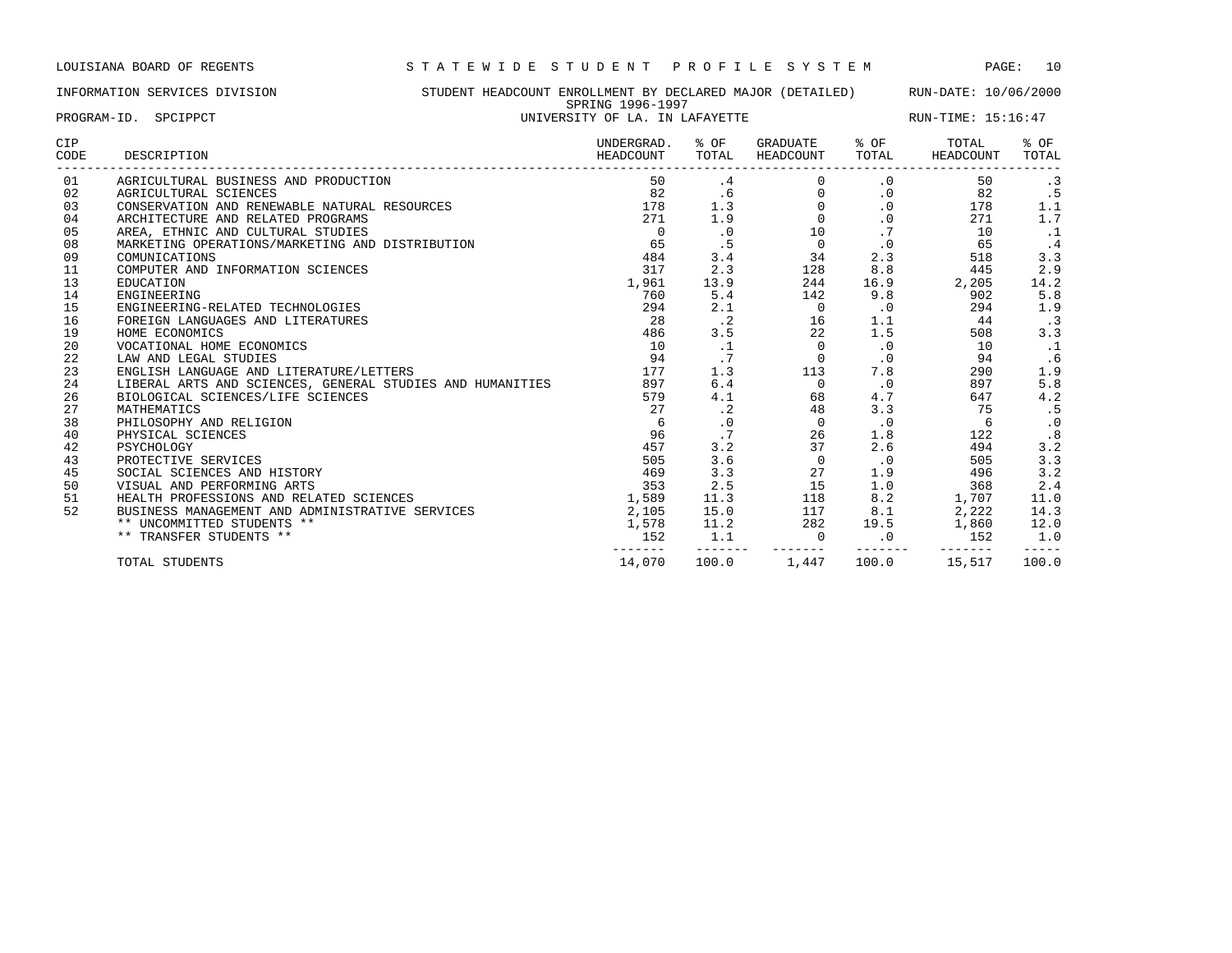INFORMATION SERVICES DIVISION STUDENT HEADCOUNT ENROLLMENT BY DECLARED MAJOR (DETAILED) RUN-DATE: 10/06/2000 SPRING 1996-1997 PROGRAM-ID. SPCIPPCT **EXECUTE:** 15:16:47

| CIP<br>CODE | DESCRIPTION                                               | UNDERGRAD.<br>HEADCOUNT | % OF<br>TOTAL | GRADUATE<br><b>HEADCOUNT</b> | % OF<br>TOTAL | TOTAL<br>HEADCOUNT | % OF<br>TOTAL |
|-------------|-----------------------------------------------------------|-------------------------|---------------|------------------------------|---------------|--------------------|---------------|
| 01          | AGRICULTURAL BUSINESS AND PRODUCTION                      | 50                      | .4            |                              | $\cdot$ 0     | 50                 | $\cdot$ 3     |
| 02          | AGRICULTURAL SCIENCES                                     | 82                      | .6            | $\Omega$                     | $\cdot$ 0     | 82                 | .5            |
| 03          | CONSERVATION AND RENEWABLE NATURAL RESOURCES              | 178                     | 1.3           | $\Omega$                     | $\cdot$ 0     | 178                | 1.1           |
| 04          | ARCHITECTURE AND RELATED PROGRAMS                         | 271                     | 1.9           | $\Omega$                     | $\cdot$ 0     | 271                | 1.7           |
| 05          | AREA, ETHNIC AND CULTURAL STUDIES                         | $\Omega$                | $\cdot$ 0     | 10                           | .7            | 10                 | $\cdot$ 1     |
| 08          | MARKETING OPERATIONS/MARKETING AND DISTRIBUTION           | 65                      | . 5           | $\mathbf 0$                  | $\cdot$ 0     | 65                 | $\cdot$ 4     |
| 09          | COMUNICATIONS                                             | 484                     | 3.4           | 34                           | 2.3           | 518                | 3.3           |
| 11          | COMPUTER AND INFORMATION SCIENCES                         | 317                     | 2.3           | 128                          | 8.8           | 445                | 2.9           |
| 13          | <b>EDUCATION</b>                                          | 1,961                   | 13.9          | 244                          | 16.9          | 2,205              | 14.2          |
| 14          | ENGINEERING                                               | 760                     | 5.4           | 142                          | 9.8           | 902                | 5.8           |
| 15          | ENGINEERING-RELATED TECHNOLOGIES                          | 294                     | 2.1           | $\circ$                      | $\cdot$ 0     | 294                | 1.9           |
| 16          | FOREIGN LANGUAGES AND LITERATURES                         | 28                      | $\cdot$ 2     | 16                           | 1.1           | 44                 | $\cdot$ 3     |
| 19          | HOME ECONOMICS                                            | 486                     | 3.5           | 22                           | 1.5           | 508                | 3.3           |
| 20          | VOCATIONAL HOME ECONOMICS                                 | 10                      | $\cdot$ 1     | $\Omega$                     | $\cdot$ 0     | 10                 | $\cdot$ 1     |
| 22          | LAW AND LEGAL STUDIES                                     | 94                      | .7            | $\Omega$                     | $\cdot$ 0     | 94                 | .6            |
| 23          | ENGLISH LANGUAGE AND LITERATURE/LETTERS                   | 177                     | 1.3           | 113                          | 7.8           | 290                | 1.9           |
| 24          | LIBERAL ARTS AND SCIENCES, GENERAL STUDIES AND HUMANITIES | 897                     | 6.4           | $\Omega$                     | $\cdot$ 0     | 897                | 5.8           |
| 26          | BIOLOGICAL SCIENCES/LIFE SCIENCES                         | 579                     | 4.1           | 68                           | 4.7           | 647                | 4.2           |
| 27          | MATHEMATICS                                               | 27                      | $\cdot$ 2     | 48                           | 3.3           | 75                 | .5            |
| 38          | PHILOSOPHY AND RELIGION                                   | 6                       | $\cdot$ 0     | $\Omega$                     | $\cdot$ 0     | 6                  | $\cdot$ 0     |
| 40          | PHYSICAL SCIENCES                                         | 96                      | .7            | 26                           | 1.8           | 122                | .8            |
| 42          | PSYCHOLOGY                                                | 457                     | 3.2           | 37                           | 2.6           | 494                | 3.2           |
| 43          | PROTECTIVE SERVICES                                       | 505                     | 3.6           | $\Omega$                     | $\cdot$ 0     | 505                | 3.3           |
| 45          | SOCIAL SCIENCES AND HISTORY                               | 469                     | 3.3           | 27                           | 1.9           | 496                | 3.2           |
| 50          | VISUAL AND PERFORMING ARTS                                | 353                     | 2.5           | 15                           | 1.0           | 368                | 2.4           |
| 51          | HEALTH PROFESSIONS AND RELATED SCIENCES                   | 1,589                   | 11.3          | 118                          | 8.2           | 1,707              | 11.0          |
| 52          | BUSINESS MANAGEMENT AND ADMINISTRATIVE SERVICES           | 2,105                   | 15.0          | 117                          | 8.1           | 2,222              | 14.3          |
|             | ** UNCOMMITTED STUDENTS **                                | 1,578                   | 11.2          | 282                          | 19.5          | 1,860              | 12.0          |
|             | ** TRANSFER STUDENTS **                                   | 152                     | 1.1           | $\mathbf 0$                  | $\cdot$ 0     | 152                | 1.0           |
|             | TOTAL STUDENTS                                            | 14,070                  | 100.0         | 1,447                        | 100.0         | 15,517             | 100.0         |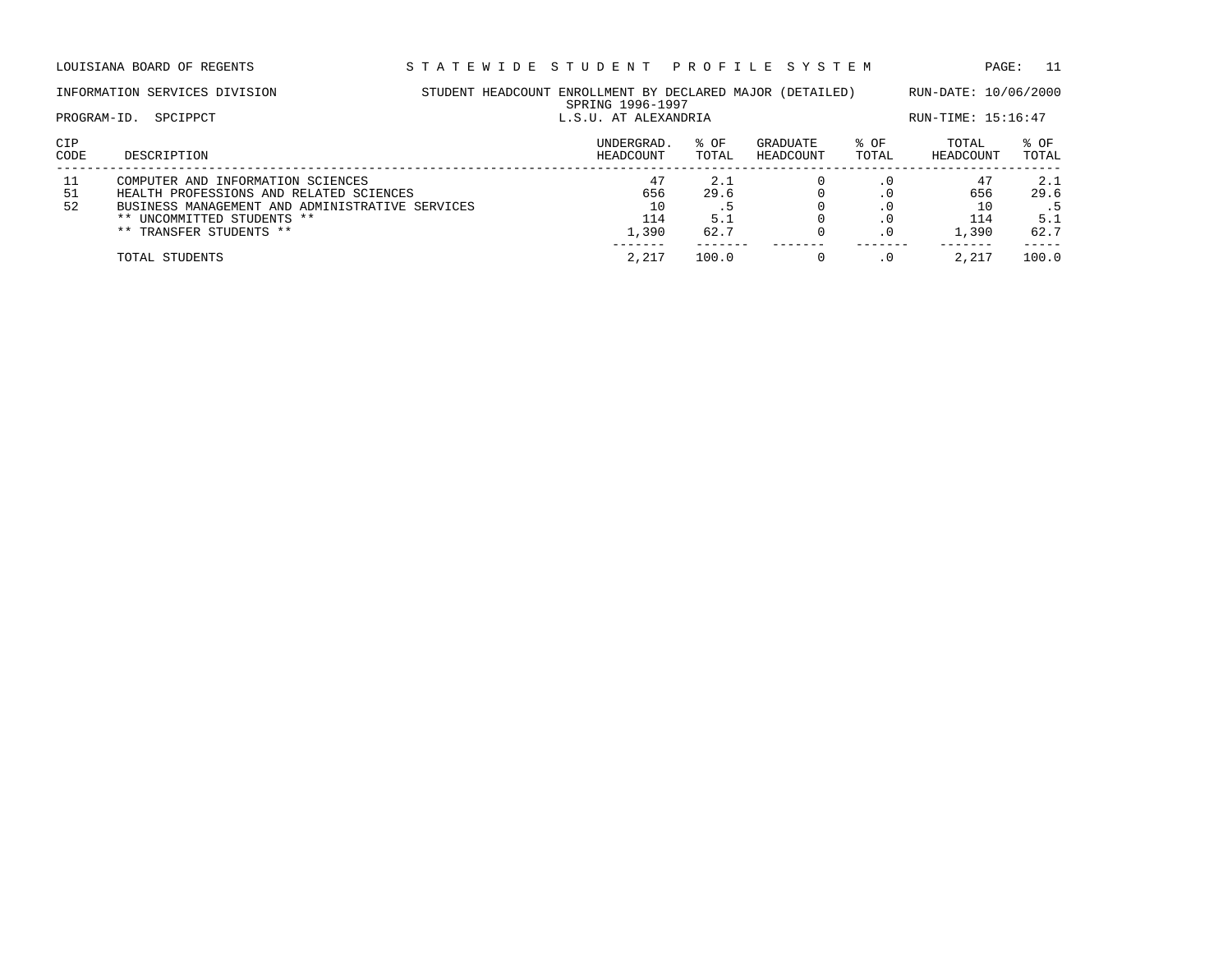|                | INFORMATION SERVICES DIVISION                                                                                                                                                            | STUDENT HEADCOUNT ENROLLMENT BY DECLARED MAJOR (DETAILED)<br>SPRING 1996-1997 |                            |                       |               |                                 | RUN-DATE: 10/06/2000              |
|----------------|------------------------------------------------------------------------------------------------------------------------------------------------------------------------------------------|-------------------------------------------------------------------------------|----------------------------|-----------------------|---------------|---------------------------------|-----------------------------------|
| PROGRAM-ID.    | SPCIPPCT                                                                                                                                                                                 |                                                                               | L.S.U. AT ALEXANDRIA       |                       |               |                                 |                                   |
| CIP<br>CODE    | DESCRIPTION                                                                                                                                                                              | UNDERGRAD.<br>HEADCOUNT                                                       | % OF<br>TOTAL              | GRADUATE<br>HEADCOUNT | % OF<br>TOTAL | TOTAL<br>HEADCOUNT              | % OF<br>TOTAL                     |
| 11<br>51<br>52 | COMPUTER AND INFORMATION SCIENCES<br>HEALTH PROFESSIONS AND RELATED SCIENCES<br>BUSINESS MANAGEMENT AND ADMINISTRATIVE SERVICES<br>** UNCOMMITTED STUDENTS **<br>** TRANSFER STUDENTS ** | 47<br>656<br>10<br>114<br>1,390                                               | 2.1<br>29.6<br>5.1<br>62.7 |                       | $\cdot$ 0     | 47<br>656<br>10<br>114<br>1,390 | 2.1<br>29.6<br>د .<br>5.1<br>62.7 |
|                | TOTAL STUDENTS                                                                                                                                                                           | 2,217                                                                         | 100.0                      |                       | . 0           | 2,217                           | 100.0                             |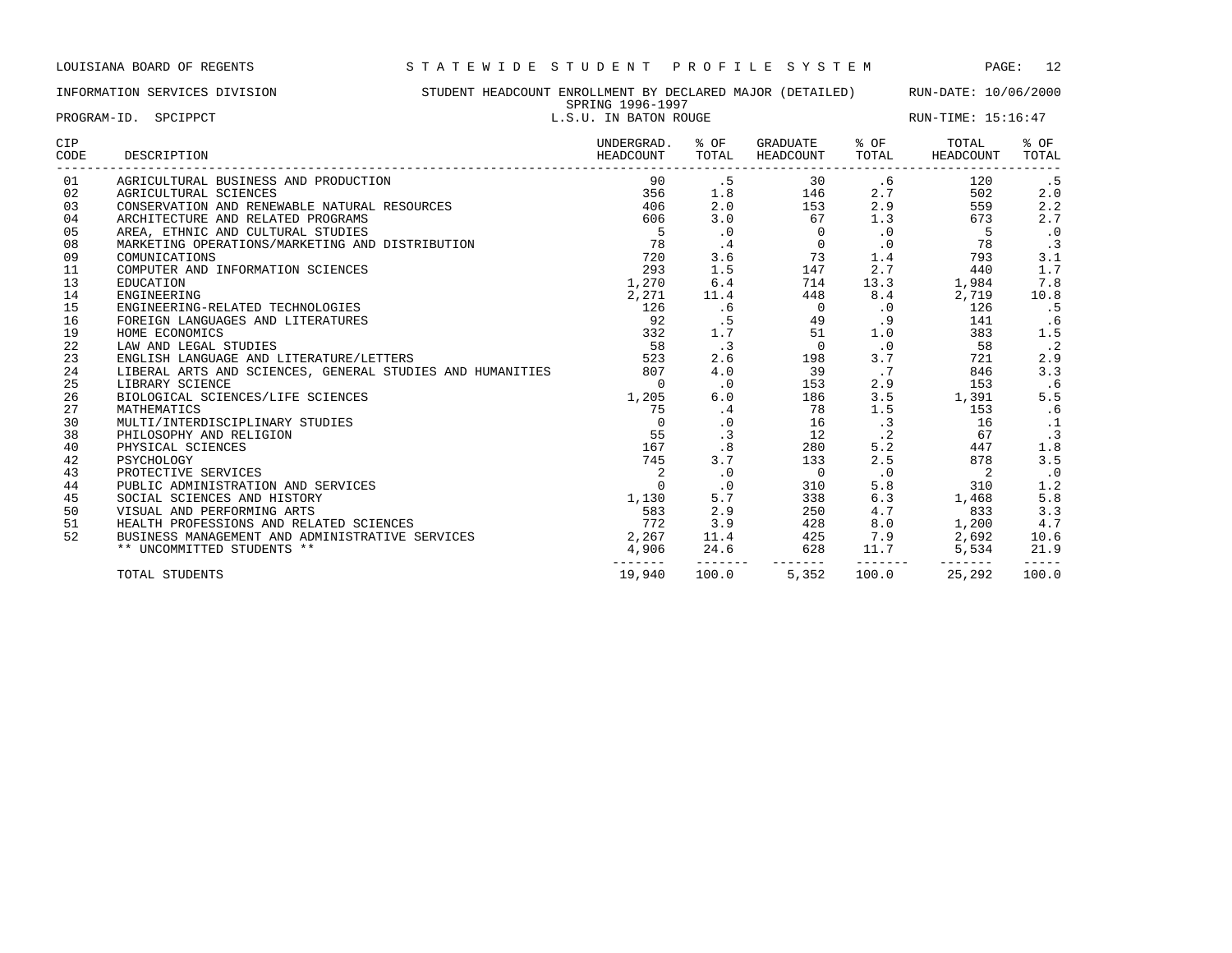# INFORMATION SERVICES DIVISION STUDENT HEADCOUNT ENROLLMENT BY DECLARED MAJOR (DETAILED) RUN-DATE: 10/06/2000 SPRING 1996-1997<br>L.S. ILL IN RATON POUGE

|             | PROGRAM-ID. SPCIPPCT                                                   |                              | OLIVING TOOO TOO!<br>L.S.U. IN BATON ROUGE |                                                                                                                                                                     |             |                                                                                                                                                                            | RUN-TIME: 15:16:47  |
|-------------|------------------------------------------------------------------------|------------------------------|--------------------------------------------|---------------------------------------------------------------------------------------------------------------------------------------------------------------------|-------------|----------------------------------------------------------------------------------------------------------------------------------------------------------------------------|---------------------|
| CIP<br>CODE | DESCRIPTION                                                            | UNDERGRAD. % OF<br>HEADCOUNT | TOTAL                                      | GRADUATE % OF<br>HEADCOUNT                                                                                                                                          |             | TOTAL<br>TOTAL HEADCOUNT                                                                                                                                                   | % OF<br>TOTAL       |
| 01          | AGRICULTURAL BUSINESS AND PRODUCTION                                   | 90                           |                                            |                                                                                                                                                                     |             |                                                                                                                                                                            | . 5                 |
| 02          | AGRICULTURAL SCIENCES                                                  |                              |                                            |                                                                                                                                                                     |             | 502                                                                                                                                                                        | 2.0                 |
| 03          | CONSERVATION AND RENEWABLE NATURAL RESOURCES                           | 406 2.0                      |                                            |                                                                                                                                                                     |             |                                                                                                                                                                            | 2.2                 |
| 04          | ARCHITECTURE AND RELATED PROGRAMS<br>$\frac{1}{28}$<br>$\frac{1}{220}$ |                              |                                            |                                                                                                                                                                     |             |                                                                                                                                                                            | 2.7                 |
| 05          | AREA, ETHNIC AND CULTURAL STUDIES                                      |                              |                                            | $\begin{array}{cccc} 600 & 5.0 & 0 \\ 5 & .0 & 0 \\ 78 & .4 & 0 \\ 720 & 3.6 & 73 \\ 293 & 1.5 & 147 \\ 1,270 & 6.4 & 714 & 1 \\ 2,271 & 11.4 & 448 \\ \end{array}$ |             |                                                                                                                                                                            | $\cdot$ 0           |
| 08          | MARKETING OPERATIONS/MARKETING AND DISTRIBUTION                        |                              |                                            |                                                                                                                                                                     | $\cdot$ 0   | 78                                                                                                                                                                         | $\cdot$ 3           |
| 09          | COMUNICATIONS                                                          |                              |                                            |                                                                                                                                                                     |             | 1.4<br>793                                                                                                                                                                 | 3.1                 |
| 11          | COMPUTER AND INFORMATION SCIENCES                                      |                              |                                            |                                                                                                                                                                     |             | 2.7<br>440                                                                                                                                                                 | 1.7                 |
| 13          | EDUCATION                                                              |                              |                                            |                                                                                                                                                                     |             | 13.3 1,984                                                                                                                                                                 | 7.8                 |
| 14          | ENGINEERING                                                            |                              |                                            |                                                                                                                                                                     |             | 8.4<br>2,719                                                                                                                                                               | 10.8                |
| 15          | ENGINEERING-RELATED TECHNOLOGIES                                       | 126                          | .6                                         | $\begin{array}{c}0\\49\end{array}$                                                                                                                                  |             | $\overline{0}$<br>126                                                                                                                                                      | .5                  |
| 16          | FOREIGN LANGUAGES AND LITERATURES                                      | 92                           | $\overline{5}$                             |                                                                                                                                                                     |             | $.9$ 141                                                                                                                                                                   | .6                  |
| 19          | HOME ECONOMICS                                                         | 332                          | 1.7                                        | 51                                                                                                                                                                  |             | 1.0<br>383                                                                                                                                                                 | 1.5                 |
| 22          | LAW AND LEGAL STUDIES                                                  | 58                           | $\cdot$ 3                                  | $\begin{array}{c}0\\198\end{array}$                                                                                                                                 | $\cdot$ 0   | 58                                                                                                                                                                         | $\cdot$ . 2         |
| 23          | ENGLISH LANGUAGE AND LITERATURE/LETTERS                                | $\frac{33}{22}$              | 2.6                                        |                                                                                                                                                                     | 3.7         | 721                                                                                                                                                                        | 2.9                 |
| 24          | LIBERAL ARTS AND SCIENCES, GENERAL STUDIES AND HUMANITIES 807          |                              | 4.0                                        | 39                                                                                                                                                                  | $\cdot$ 7   | 846                                                                                                                                                                        | 3.3                 |
| 25          | LIBRARY SCIENCE                                                        | $\Omega$                     | $\overline{0}$                             | 153                                                                                                                                                                 |             | 2.9<br>153                                                                                                                                                                 | .6                  |
| 26          | BIOLOGICAL SCIENCES/LIFE SCIENCES                                      | 1,205                        | 6.0                                        | 186                                                                                                                                                                 |             | $3.5$ 1,391                                                                                                                                                                | 5.5                 |
| 27          | MATHEMATICS                                                            | 75                           | $\cdot$ 4                                  | 78                                                                                                                                                                  |             | 1.5 153                                                                                                                                                                    | .6                  |
| 30          | MULTI/INTERDISCIPLINARY STUDIES                                        | $\Omega$                     | $\cdot$ 0                                  | 16                                                                                                                                                                  |             | $\cdot$ 3 16                                                                                                                                                               | $\frac{1}{3}$       |
| 38          | PHILOSOPHY AND RELIGION                                                | 55                           | .3                                         |                                                                                                                                                                     | $\cdot$ . 2 | 67                                                                                                                                                                         |                     |
| 40          | PHYSICAL SCIENCES                                                      | 167                          | .8                                         | $\begin{array}{c} 12 \\ 280 \end{array}$<br>280                                                                                                                     | 5.2         | 447                                                                                                                                                                        | 1.8                 |
| 42          | PSYCHOLOGY                                                             | 745                          |                                            | 3.7<br>133                                                                                                                                                          | 2.5         | 878                                                                                                                                                                        | 3.5                 |
| 43          | PROTECTIVE SERVICES                                                    | $\overline{2}$               | $\cdot$ 0                                  | $\overline{0}$                                                                                                                                                      | $\cdot$ 0   | $\sim$ 2                                                                                                                                                                   | $\cdot$ 0           |
| 44          | PUBLIC ADMINISTRATION AND SERVICES                                     | $\Omega$                     | $\cdot$ 0                                  | 310                                                                                                                                                                 |             | 5.8<br>310                                                                                                                                                                 | 1.2                 |
| 45          | SOCIAL SCIENCES AND HISTORY                                            | 1,130                        | 5.7                                        | 338                                                                                                                                                                 |             | $6.3$ 1,468                                                                                                                                                                | 5.8                 |
| 50          | VISUAL AND PERFORMING ARTS                                             | 583                          | 2.9                                        | 250                                                                                                                                                                 | 4.7         |                                                                                                                                                                            | 3.3                 |
| 51          | HEALTH PROFESSIONS AND RELATED SCIENCES                                | 772                          |                                            |                                                                                                                                                                     |             |                                                                                                                                                                            | 4.7                 |
| 52          | BUSINESS MANAGEMENT AND ADMINISTRATIVE SERVICES                        | 2,267                        |                                            |                                                                                                                                                                     |             | $\begin{array}{cc} & & \ddots \\ & & 1,200 \\ & & 2.692 \end{array}$                                                                                                       | 10.6                |
|             | ** UNCOMMITTED STUDENTS **                                             | --------                     | --------                                   |                                                                                                                                                                     |             | $\begin{array}{ccccccccc}\n & 772 & & 3.9 & & 428 & & 8.0 & & 1,200 \\ 2,267 & & 11.4 & & 425 & & 7.9 & & 2,692 \\ 4,906 & & 24.6 & & 628 & & 11.7 & & 5,534\n\end{array}$ | 21.9<br>$- - - - -$ |
|             | TOTAL STUDENTS                                                         | 19,940                       | 100.0                                      | 5,352                                                                                                                                                               | 100.0       | 25,292                                                                                                                                                                     | 100.0               |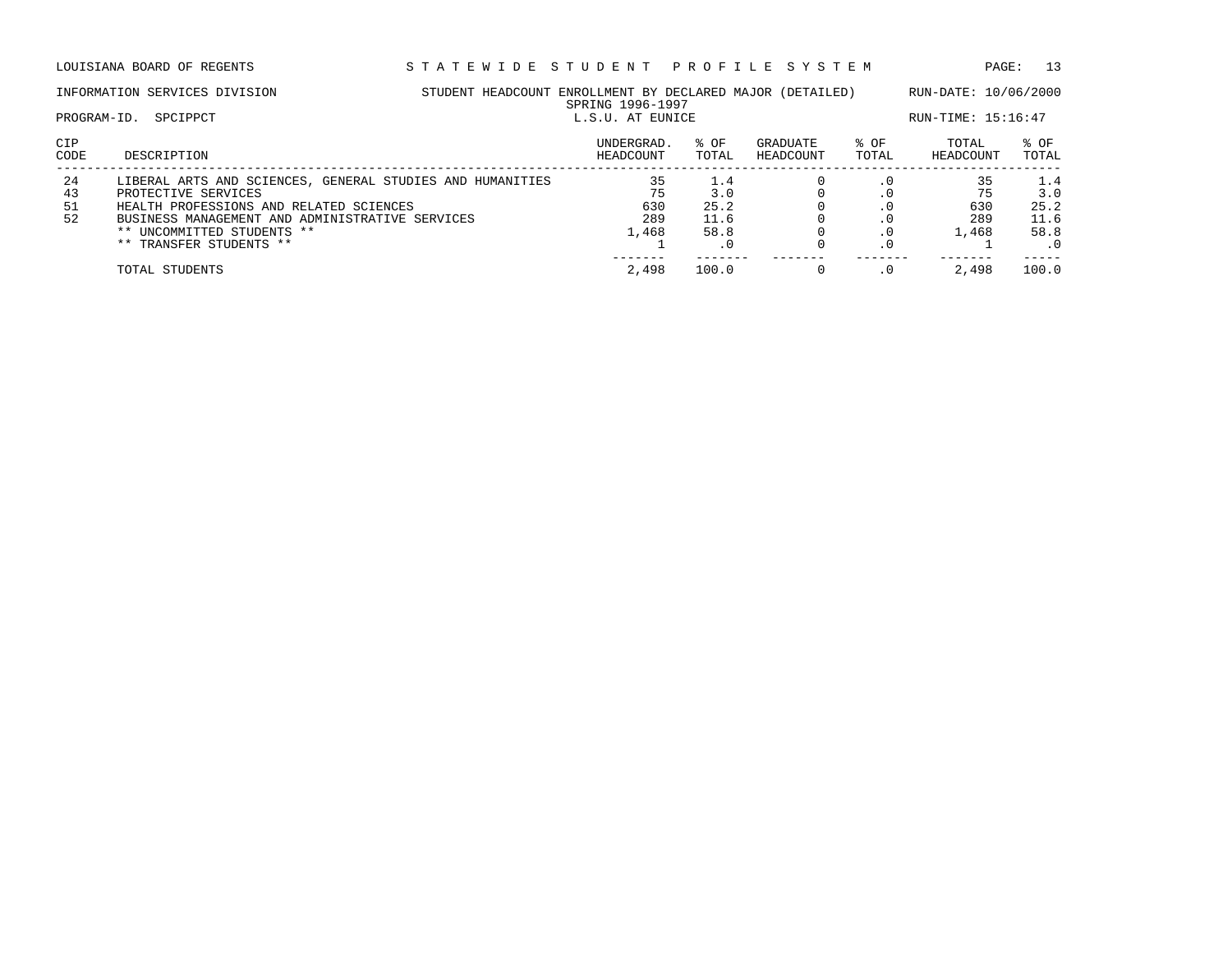| STUDENT HEADCOUNT ENROLLMENT BY DECLARED MAJOR (DETAILED)<br>INFORMATION SERVICES DIVISION<br>SPRING 1996-1997 |                                                           |  |                  |       | RUN-DATE: 10/06/2000 |           |                    |           |  |
|----------------------------------------------------------------------------------------------------------------|-----------------------------------------------------------|--|------------------|-------|----------------------|-----------|--------------------|-----------|--|
| PROGRAM-ID.                                                                                                    | SPCIPPCT                                                  |  | L.S.U. AT EUNICE |       |                      |           | RUN-TIME: 15:16:47 |           |  |
| CIP                                                                                                            |                                                           |  | UNDERGRAD.       | % OF  | GRADUATE             | % OF      | TOTAL              | % OF      |  |
| CODE                                                                                                           | DESCRIPTION                                               |  | HEADCOUNT        | TOTAL | HEADCOUNT            | TOTAL     | HEADCOUNT          | TOTAL     |  |
| 24                                                                                                             | LIBERAL ARTS AND SCIENCES, GENERAL STUDIES AND HUMANITIES |  | 35               | 1.4   |                      | $\cdot$ 0 | 35                 | 1.4       |  |
| 43                                                                                                             | PROTECTIVE SERVICES                                       |  | 75               | 3.0   |                      |           |                    | 3.0       |  |
| 51                                                                                                             | HEALTH PROFESSIONS AND RELATED SCIENCES                   |  | 630              | 25.2  |                      | . 0       | 630                | 25.2      |  |
| 52                                                                                                             | BUSINESS MANAGEMENT AND ADMINISTRATIVE SERVICES           |  | 289              | 11.6  |                      |           | 289                | 11.6      |  |
|                                                                                                                | ** UNCOMMITTED STUDENTS **                                |  | 1,468            | 58.8  |                      | . 0       | 1,468              | 58.8      |  |
|                                                                                                                | ** TRANSFER STUDENTS **                                   |  |                  |       |                      |           |                    | $\cdot$ 0 |  |
|                                                                                                                | TOTAL STUDENTS                                            |  | 2,498            | 100.0 |                      |           | 2,498              | 100.0     |  |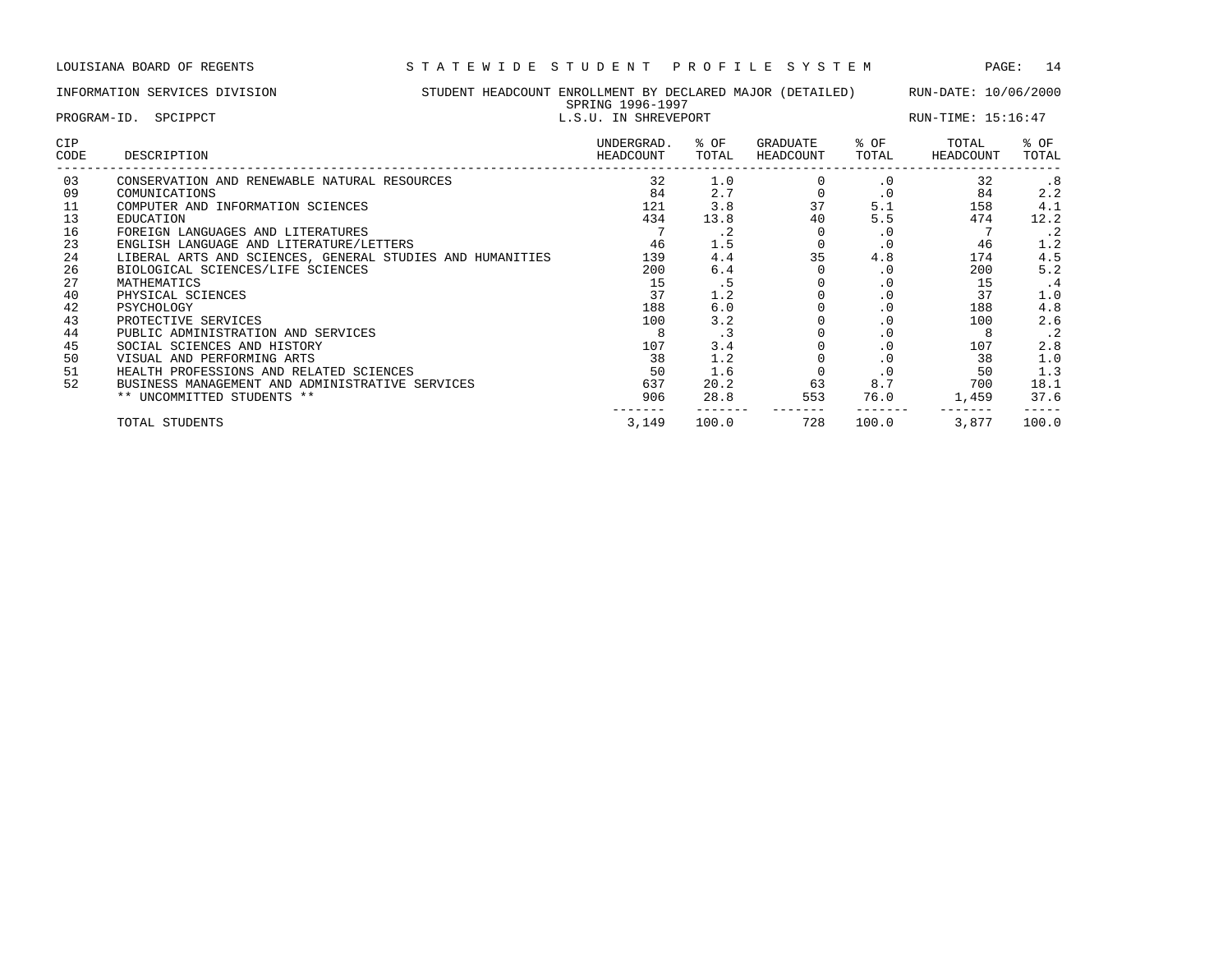# INFORMATION SERVICES DIVISION STUDENT HEADCOUNT ENROLLMENT BY DECLARED MAJOR (DETAILED) RUN-DATE: 10/06/2000 SPRING 1996-1997<br>L.S.II. IN SUPFVEDOPT

|                    | PROGRAM-ID. SPCIPPCT                                      |                         | L.S.U. IN SHREVEPORT |                       |               | $RUN-TIME: 15:16:47$ |               |  |  |
|--------------------|-----------------------------------------------------------|-------------------------|----------------------|-----------------------|---------------|----------------------|---------------|--|--|
| <b>CIP</b><br>CODE | DESCRIPTION                                               | UNDERGRAD.<br>HEADCOUNT | % OF<br>TOTAL        | GRADUATE<br>HEADCOUNT | % OF<br>TOTAL | TOTAL<br>HEADCOUNT   | % OF<br>TOTAL |  |  |
| 03                 | CONSERVATION AND RENEWABLE NATURAL RESOURCES              | 32                      | 1.0                  |                       | $\cdot$ 0     | 32                   | .8            |  |  |
| 09                 | COMUNICATIONS                                             | 84                      | 2.7                  |                       | $\cdot$ 0     | 84                   | 2.2           |  |  |
| 11                 | COMPUTER AND INFORMATION SCIENCES                         | 121                     | 3.8                  | 37                    | 5.1           | 158                  | 4.1           |  |  |
| 13                 | EDUCATION                                                 | 434                     | 13.8                 | 40                    | 5.5           | 474                  | 12.2          |  |  |
| 16                 | FOREIGN LANGUAGES AND LITERATURES                         |                         | . 2                  |                       | $\cdot$ 0     |                      | $\cdot$ 2     |  |  |
| 23                 | ENGLISH LANGUAGE AND LITERATURE/LETTERS                   | 46                      | 1.5                  |                       | $\cdot$ 0     | 46                   | 1.2           |  |  |
| 24                 | LIBERAL ARTS AND SCIENCES, GENERAL STUDIES AND HUMANITIES | 139                     | 4.4                  | 35                    | 4.8           | 174                  | 4.5           |  |  |
| 26                 | BIOLOGICAL SCIENCES/LIFE SCIENCES                         | 200                     | 6.4                  |                       | $\cdot$ 0     | 200                  | 5.2           |  |  |
| 27                 | MATHEMATICS                                               | 15                      | . 5                  |                       | . 0           | 15                   | .4            |  |  |
| 40                 | PHYSICAL SCIENCES                                         | 37                      | 1.2                  |                       | $\cdot$ 0     | 37                   | 1.0           |  |  |
| 42                 | PSYCHOLOGY                                                | 188                     | 6.0                  |                       |               | 188                  | 4.8           |  |  |
| 43                 | PROTECTIVE SERVICES                                       | 100                     | 3.2                  |                       | $\cdot$ 0     | 100                  | 2.6           |  |  |
| 44                 | PUBLIC ADMINISTRATION AND SERVICES                        |                         | $\cdot$ 3            |                       | $\cdot$ 0     | 8                    | $\cdot$ 2     |  |  |
| 45                 | SOCIAL SCIENCES AND HISTORY                               | 107                     | 3.4                  |                       | $\cdot$ 0     | 107                  | 2.8           |  |  |
| 50                 | VISUAL AND PERFORMING ARTS                                | 38                      | 1.2                  |                       | $\cdot$ 0     | 38                   | 1.0           |  |  |
| 51                 | HEALTH PROFESSIONS AND RELATED SCIENCES                   | 50                      | 1.6                  |                       | $\cdot$ 0     | 50                   | 1.3           |  |  |
| 52                 | BUSINESS MANAGEMENT AND ADMINISTRATIVE SERVICES           | 637                     | 20.2                 | 63                    | 8.7           | 700                  | 18.1          |  |  |
|                    | ** UNCOMMITTED STUDENTS **                                | 906                     | 28.8                 | 553                   | 76.0          | 1,459                | 37.6          |  |  |
|                    |                                                           |                         |                      |                       |               |                      |               |  |  |

TOTAL STUDENTS 3,149 100.0 728 100.0 3,877 100.0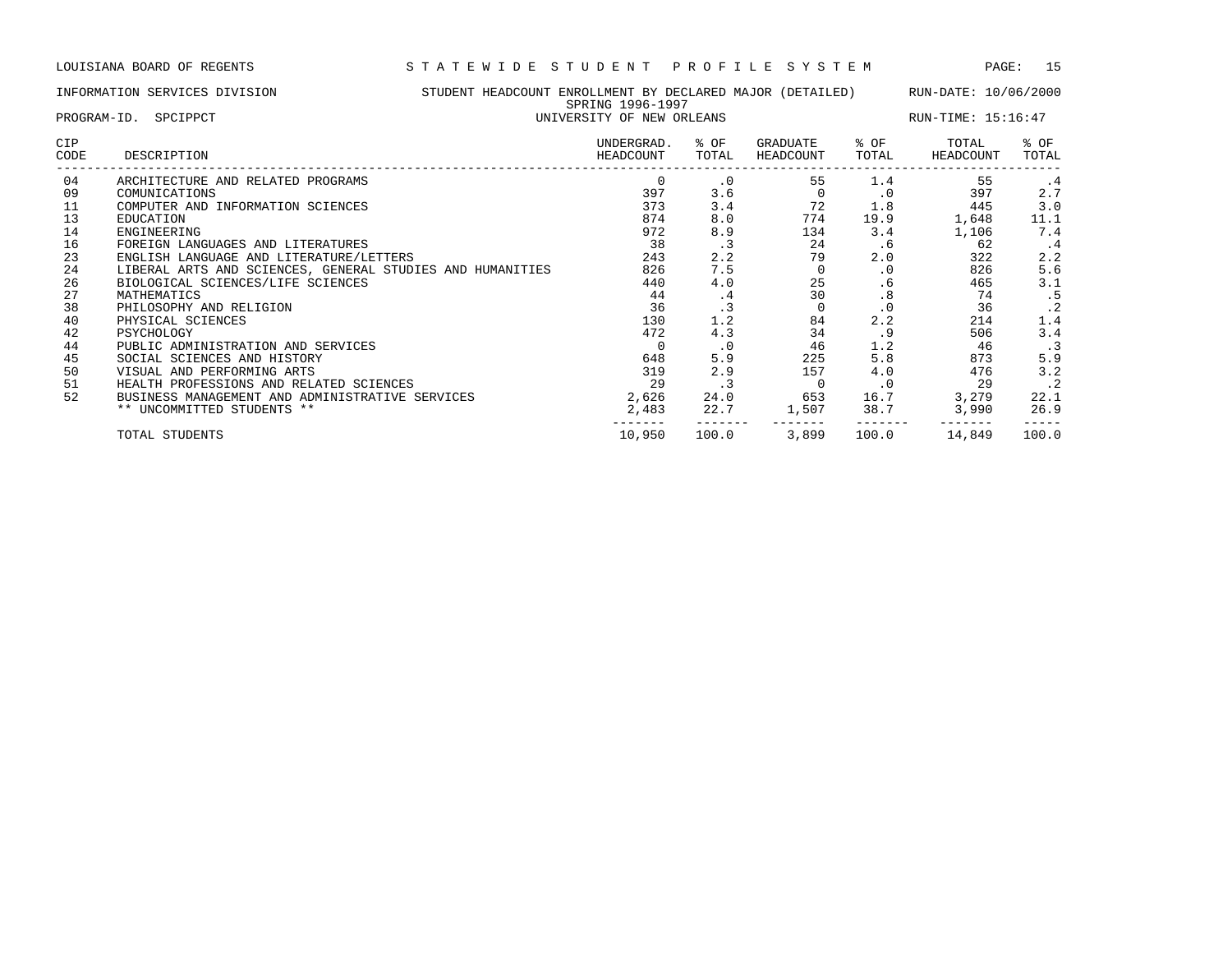## INFORMATION SERVICES DIVISION STUDENT HEADCOUNT ENROLLMENT BY DECLARED MAJOR (DETAILED) RUN-DATE: 10/06/2000 SPRING 1996-1997 PROGRAM-ID. SPCIPPCT **EXECUTE:** 15:16:47 CIP UNDERGRAD. % OF GRADUATE % OF TOTAL % OF CODE DESCRIPTION HEADCOUNT TOTAL HEADCOUNT TOTAL HEADCOUNT TOTAL

| CODE. | DESCRIPIION                                               | <b>HEADCOUNI</b> | TOTHT     | <b>HEADCOONI</b> | TOTHT     | <b>HEADCOUNI</b> | TATAT     |
|-------|-----------------------------------------------------------|------------------|-----------|------------------|-----------|------------------|-----------|
| 04    | ARCHITECTURE AND RELATED PROGRAMS                         | 0                | $\cdot$ 0 | 55               | 1.4       | 55               | . 4       |
| 09    | COMUNICATIONS                                             | 397              | 3.6       |                  | . 0       | 397              | 2.7       |
| 11    | COMPUTER AND INFORMATION SCIENCES                         | 373              | 3.4       | 72               | 1.8       | 445              | 3.0       |
| 13    | EDUCATION                                                 | 874              | 8.0       | 774              | 19.9      | 1,648            | 11.1      |
| 14    | ENGINEERING                                               | 972              | 8.9       | 134              | 3.4       | 1,106            | 7.4       |
| 16    | FOREIGN LANGUAGES AND LITERATURES                         | 38               | . 3       | 24               | .6        | 62               | . 4       |
| 23    | ENGLISH LANGUAGE AND LITERATURE/LETTERS                   | 243              | 2.2       | 79               | 2.0       | 322              | 2.2       |
| 24    | LIBERAL ARTS AND SCIENCES, GENERAL STUDIES AND HUMANITIES | 826              | 7.5       |                  | $\cdot$ 0 | 826              | 5.6       |
| 26    | BIOLOGICAL SCIENCES/LIFE SCIENCES                         | 440              | 4.0       | 25               | . 6       | 465              | 3.1       |
| 27    | MATHEMATICS                                               | 44               | . 4       | 30               | .8        | 74               | . 5       |
| 38    | PHILOSOPHY AND RELIGION                                   | 36               |           |                  | $\cdot$ 0 | 36               | $\cdot$ 2 |
| 40    | PHYSICAL SCIENCES                                         | 130              | 1.2       | 84               | 2.2       | 214              | 1.4       |
| 42    | PSYCHOLOGY                                                | 472              | 4.3       | 34               | . 9       | 506              | 3.4       |
| 44    | PUBLIC ADMINISTRATION AND SERVICES                        |                  | . 0       | 46               | 1.2       | 46               | . 3       |
| 45    | SOCIAL SCIENCES AND HISTORY                               | 648              | 5.9       | 225              | 5.8       | 873              | 5.9       |
| 50    | VISUAL AND PERFORMING ARTS                                | 319              | 2.9       | 157              | 4.0       | 476              | 3.2       |
| 51    | HEALTH PROFESSIONS AND RELATED SCIENCES                   | 29               | . 3       |                  | $\cdot$ 0 | 29               | $\cdot$ 2 |
| 52    | BUSINESS MANAGEMENT AND ADMINISTRATIVE SERVICES           | 2,626            | 24.0      | 653              | 16.7      | 3,279            | 22.1      |
|       | ** UNCOMMITTED STUDENTS **                                | 2,483            | 22.7      | 1,507            | 38.7      | 3,990            | 26.9      |
|       | TOTAL STUDENTS                                            | 10,950           | 100.0     | 3,899            | 100.0     | 14,849           | 100.0     |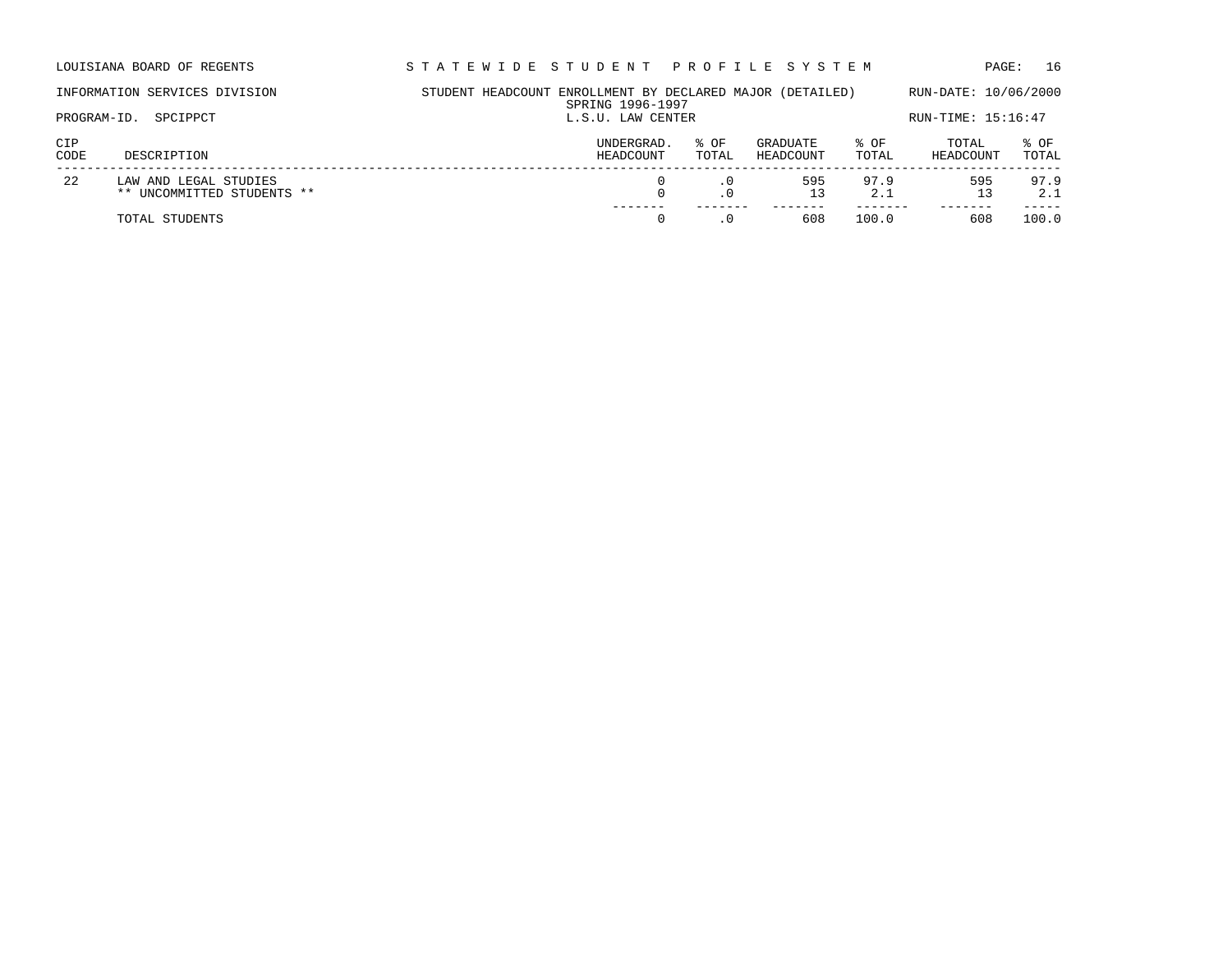| LOUISIANA BOARD OF REGENTS | STATEWIDE STUDENT PROFILE SYSTEM | PAGE: 16 |
|----------------------------|----------------------------------|----------|
|                            |                                  |          |

| PROGRAM-ID. | INFORMATION SERVICES DIVISION<br>SPCIPPCT           | STUDENT HEADCOUNT ENROLLMENT BY DECLARED MAJOR (DETAILED)<br>SPRING 1996-1997<br>L.S.U. LAW CENTER |                         |               |                       |               | RUN-DATE: 10/06/2000<br>RUN-TIME: 15:16:47 |               |  |
|-------------|-----------------------------------------------------|----------------------------------------------------------------------------------------------------|-------------------------|---------------|-----------------------|---------------|--------------------------------------------|---------------|--|
| CIP<br>CODE | DESCRIPTION                                         |                                                                                                    | UNDERGRAD.<br>HEADCOUNT | % OF<br>TOTAL | GRADUATE<br>HEADCOUNT | % OF<br>TOTAL | TOTAL<br>HEADCOUNT                         | % OF<br>TOTAL |  |
| -22         | LAW AND LEGAL STUDIES<br>** UNCOMMITTED STUDENTS ** |                                                                                                    |                         | . 0           | 595<br>13             | 97.9<br>2.1   | 595                                        | 97.9<br>2.1   |  |
|             | TOTAL STUDENTS                                      |                                                                                                    |                         |               | 608                   | 100.0         | 608                                        | 100.0         |  |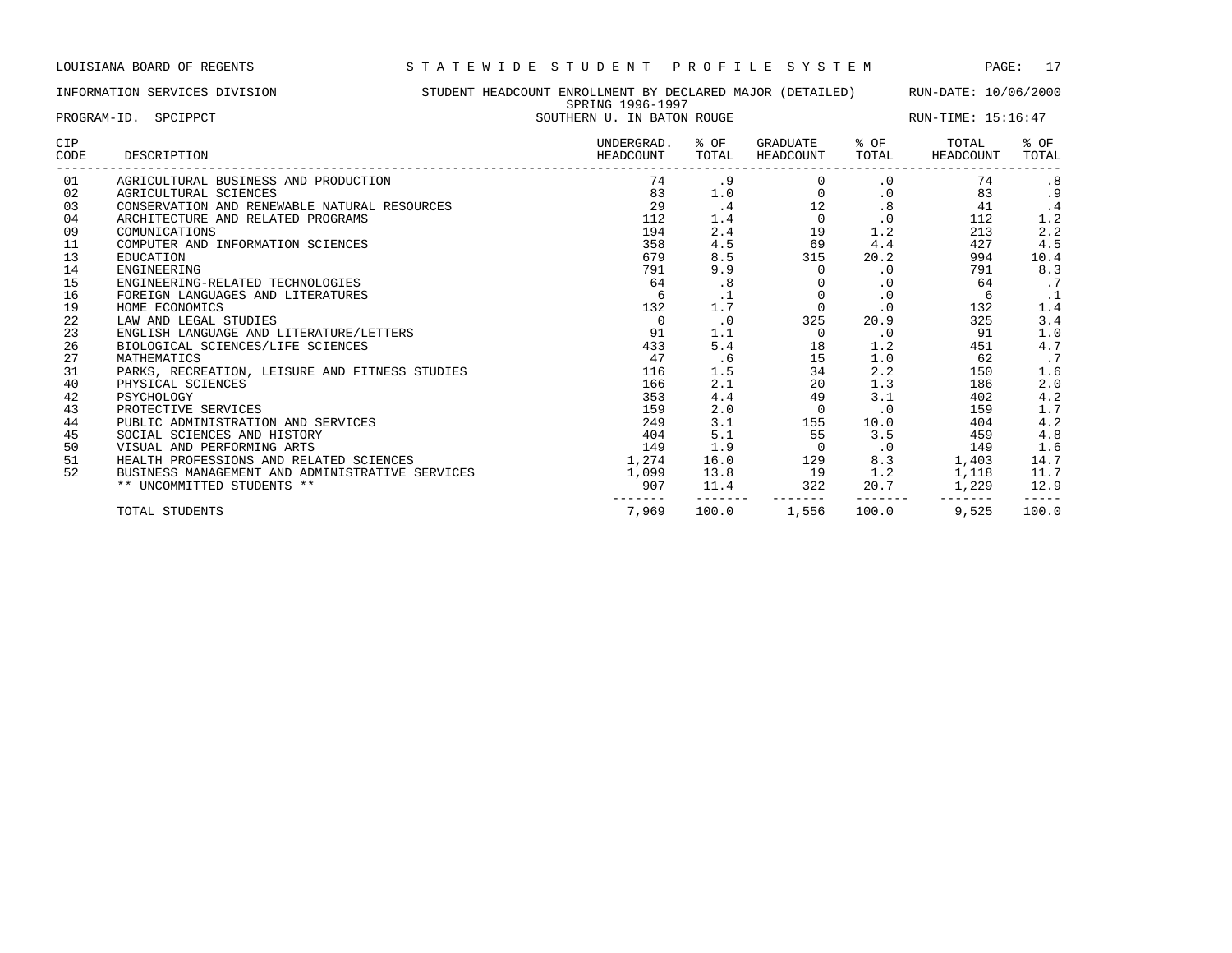PROGRAM-ID. SPCIPPCT SOUTHERN U. IN BATON ROUGE SOUTHERN U. IN BATON ROUGE RUN-TIME: 15:16:47

INFORMATION SERVICES DIVISION STUDENT HEADCOUNT ENROLLMENT BY DECLARED MAJOR (DETAILED) RUN-DATE: 10/06/2000 SPRING 1996-1997

| CIP<br>CODE | DESCRIPTION                                     | UNDERGRAD.<br>HEADCOUNT | % OF<br>TOTAL | GRADUATE<br>HEADCOUNT | % OF<br>TOTAL | TOTAL<br>HEADCOUNT | % OF<br>TOTAL |
|-------------|-------------------------------------------------|-------------------------|---------------|-----------------------|---------------|--------------------|---------------|
| 01          | AGRICULTURAL BUSINESS AND PRODUCTION            | 74                      | . 9           |                       | $\cdot$ 0     | 74                 | .8            |
| 02          | AGRICULTURAL SCIENCES                           | 83                      | 1.0           | 0                     | $\cdot$ 0     | 83                 | .9            |
| 03          | CONSERVATION AND RENEWABLE NATURAL RESOURCES    | 29                      | .4            | 12                    | .8            | 41                 | . 4           |
| 04          | ARCHITECTURE AND RELATED PROGRAMS               | 112                     | 1.4           | $\circ$               | $\cdot$ 0     | 112                | 1.2           |
| 09          | COMUNICATIONS                                   | 194                     | 2.4           | 19                    | 1.2           | 213                | 2.2           |
| 11          | COMPUTER AND INFORMATION SCIENCES               | 358                     | 4.5           | 69                    | 4.4           | 427                | 4.5           |
| 13          | EDUCATION                                       | 679                     | 8.5           | 315                   | 20.2          | 994                | 10.4          |
| 14          | ENGINEERING                                     | 791                     | 9.9           | $\Omega$              | $\cdot$ 0     | 791                | 8.3           |
| 15          | ENGINEERING-RELATED TECHNOLOGIES                | 64                      | .8            |                       | $\cdot$ 0     | 64                 | $\cdot$ 7     |
| 16          | FOREIGN LANGUAGES AND LITERATURES               |                         |               | $\Omega$              | $\cdot$ 0     | 6                  |               |
| 19          | HOME ECONOMICS                                  | 132                     | 1.7           | 0                     | $\cdot$ 0     | 132                | 1.4           |
| 22          | LAW AND LEGAL STUDIES                           | $\Omega$                | $\cdot$ 0     | 325                   | 20.9          | 325                | 3.4           |
| 23          | ENGLISH LANGUAGE AND LITERATURE/LETTERS         | 91                      | 1.1           | $\Omega$              | $\cdot$ 0     | 91                 | 1.0           |
| 26          | BIOLOGICAL SCIENCES/LIFE SCIENCES               | 433                     | 5.4           | 18                    | 1.2           | 451                | 4.7           |
| 27          | MATHEMATICS                                     | 47                      | . 6           | 15                    | 1.0           | 62                 | $\cdot$ 7     |
| 31          | PARKS, RECREATION, LEISURE AND FITNESS STUDIES  | 116                     | 1.5           | 34                    | 2.2           | 150                | 1.6           |
| 40          | PHYSICAL SCIENCES                               | 166                     | 2.1           | 20                    | 1.3           | 186                | 2.0           |
| 42          | PSYCHOLOGY                                      | 353                     | 4.4           | 49                    | 3.1           | 402                | 4.2           |
| 43          | PROTECTIVE SERVICES                             | 159                     | 2.0           | $\Omega$              | $\cdot$ 0     | 159                | 1.7           |
| 44          | PUBLIC ADMINISTRATION AND SERVICES              | 249                     | 3.1           | 155                   | 10.0          | 404                | 4.2           |
| 45          | SOCIAL SCIENCES AND HISTORY                     | 404                     | 5.1           | 55                    | 3.5           | 459                | 4.8           |
| 50          | VISUAL AND PERFORMING ARTS                      | 149                     | 1.9           | $\circ$               | $\cdot$ 0     | 149                | 1.6           |
| 51          | HEALTH PROFESSIONS AND RELATED SCIENCES         | 1,274                   | 16.0          | 129                   | 8.3           | 1,403              | 14.7          |
| 52          | BUSINESS MANAGEMENT AND ADMINISTRATIVE SERVICES | 1,099                   | 13.8          | 19                    | 1.2           | 1,118              | 11.7          |
|             | ** UNCOMMITTED STUDENTS **                      | 907                     | 11.4          | 322                   | 20.7          | 1,229              | 12.9          |
|             | TOTAL STUDENTS                                  | 7,969                   | 100.0         | 1,556                 | 100.0         | 9,525              | 100.0         |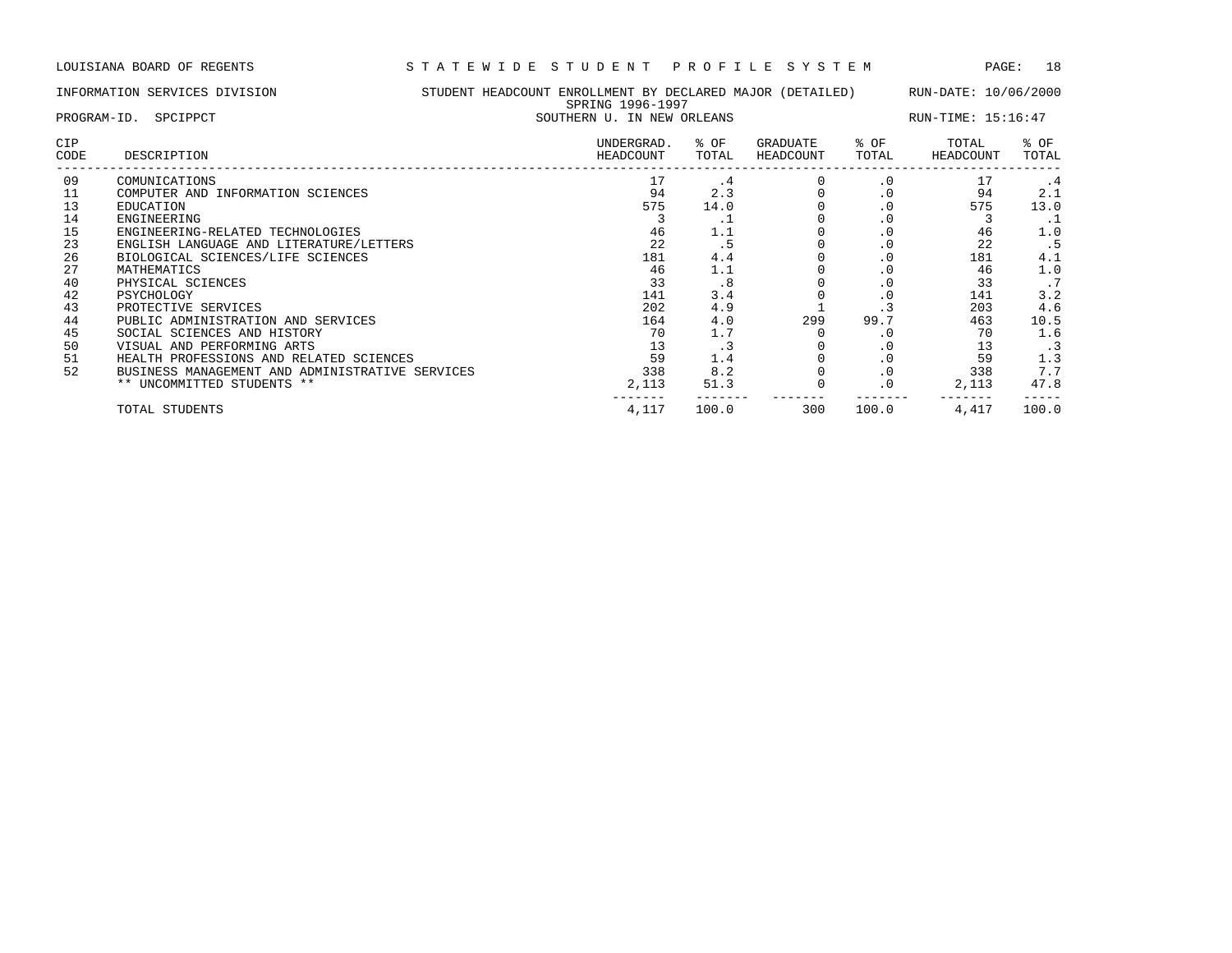| STUDENT HEADCOUNT ENROLLMENT BY DECLARED MAJOR (DETAILED)<br>INFORMATION SERVICES DIVISION<br>SPRING 1996-1997 |                                                 |                            |                         | RUN-DATE: 10/06/2000 |                       |               |                    |               |
|----------------------------------------------------------------------------------------------------------------|-------------------------------------------------|----------------------------|-------------------------|----------------------|-----------------------|---------------|--------------------|---------------|
|                                                                                                                | PROGRAM-ID. SPCIPPCT                            | SOUTHERN U. IN NEW ORLEANS |                         |                      |                       |               | RUN-TIME: 15:16:47 |               |
| <b>CIP</b><br>CODE                                                                                             | DESCRIPTION                                     |                            | UNDERGRAD.<br>HEADCOUNT | % OF<br>TOTAL        | GRADUATE<br>HEADCOUNT | % OF<br>TOTAL | TOTAL<br>HEADCOUNT | % OF<br>TOTAL |
| 09                                                                                                             | COMUNICATIONS                                   |                            | 17                      | . 4                  |                       | $\cdot$ 0     | 17                 | . 4           |
| 11                                                                                                             | COMPUTER AND INFORMATION SCIENCES               |                            | 94                      | 2.3                  |                       | .0            | 94                 | 2.1           |
| 13                                                                                                             | EDUCATION                                       |                            | 575                     | 14.0                 |                       | . 0           | 575                | 13.0          |
| 14                                                                                                             | ENGINEERING                                     |                            |                         | . .                  |                       | $\cdot$ 0     |                    | . 1           |
| 15                                                                                                             | ENGINEERING-RELATED TECHNOLOGIES                |                            | 46                      | 1.1                  |                       | $\cdot$ 0     | 46                 | 1.0           |
| 23                                                                                                             | ENGLISH LANGUAGE AND LITERATURE/LETTERS         |                            | 22                      | . 5                  |                       | $\cdot$ 0     | 22                 | . 5           |
| 26                                                                                                             | BIOLOGICAL SCIENCES/LIFE SCIENCES               |                            | 181                     | 4.4                  |                       | $\cdot$ 0     | 181                | 4.1           |
| 27                                                                                                             | MATHEMATICS                                     |                            | 46                      | 1.1                  |                       | $\cdot$ 0     | 46                 | 1.0           |
| 40                                                                                                             | PHYSICAL SCIENCES                               |                            | 33                      | .8                   |                       | $\cdot$ 0     | 33                 | .7            |
| 42                                                                                                             | PSYCHOLOGY                                      |                            | 141                     | 3.4                  |                       | $\cdot$ 0     | 141                | 3.2           |
| 43                                                                                                             | PROTECTIVE SERVICES                             |                            | 202                     | 4.9                  |                       | $\cdot$ 3     | 203                | 4.6           |
| 44                                                                                                             | PUBLIC ADMINISTRATION AND SERVICES              |                            | 164                     | 4.0                  | 299                   | 99.7          | 463                | 10.5          |
| 45                                                                                                             | SOCIAL SCIENCES AND HISTORY                     |                            | 70                      | 1.7                  |                       | . 0           | 70                 | 1.6           |
| 50                                                                                                             | VISUAL AND PERFORMING ARTS                      |                            | 13                      | . 3                  |                       | $\cdot$ 0     | 13                 | $\cdot$ 3     |
| 51                                                                                                             | HEALTH PROFESSIONS AND RELATED SCIENCES         |                            | 59                      | 1.4                  |                       | $\cdot$ 0     | 59                 | 1.3           |
| 52                                                                                                             | BUSINESS MANAGEMENT AND ADMINISTRATIVE SERVICES |                            | 338                     | 8.2                  |                       | $\cdot$ 0     | 338                | 7.7           |

\*\* UNCOMMITTED STUDENTS \*\* 2,113 51.3 0 .0 2,113 47.8

------- ------- ------- ------- ------- -----

TOTAL STUDENTS 4,117 100.0 300 100.0 4,417 100.0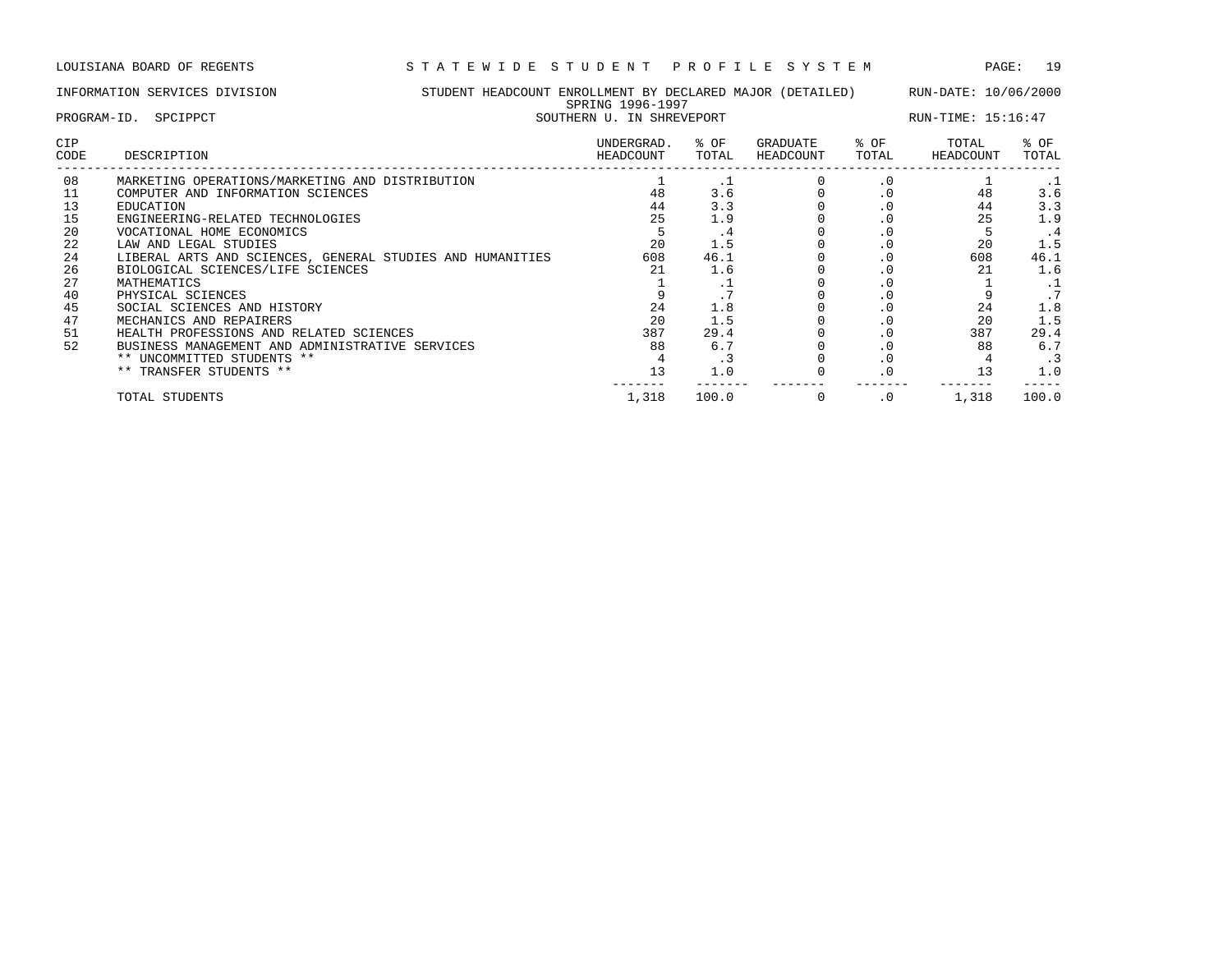|                    | LOUISIANA BOARD OF REGENTS                                | STATEWIDE STUDENT                                                              |                           |               | PROFILE SYSTEM        |               | PAGE:              | 19            |
|--------------------|-----------------------------------------------------------|--------------------------------------------------------------------------------|---------------------------|---------------|-----------------------|---------------|--------------------|---------------|
|                    | INFORMATION SERVICES DIVISION                             | STUDENT HEADCOUNT ENROLLMENT BY DECLARED MAJOR (DETAILED) RUN-DATE: 10/06/2000 | SPRING 1996-1997          |               |                       |               |                    |               |
|                    | PROGRAM-ID. SPCIPPCT                                      |                                                                                | SOUTHERN U. IN SHREVEPORT |               |                       |               | RUN-TIME: 15:16:47 |               |
| <b>CIP</b><br>CODE | DESCRIPTION                                               |                                                                                | UNDERGRAD.<br>HEADCOUNT   | % OF<br>TOTAL | GRADUATE<br>HEADCOUNT | % OF<br>TOTAL | TOTAL<br>HEADCOUNT | % OF<br>TOTAL |
| 08                 | MARKETING OPERATIONS/MARKETING AND DISTRIBUTION           |                                                                                |                           | $\cdot$ 1     |                       | $\cdot$ 0     |                    | - 1           |
| 11                 | COMPUTER AND INFORMATION SCIENCES                         |                                                                                | 48                        | 3.6           |                       | $\cdot$ 0     | 48                 | 3.6           |
| 13                 | EDUCATION                                                 |                                                                                | 44                        | 3.3           |                       | $\cdot$ 0     | 44                 | 3.3           |
| 15                 | ENGINEERING-RELATED TECHNOLOGIES                          |                                                                                | 25                        | 1.9           |                       | $\cdot$ 0     | 25                 | 1.9           |
| 20                 | VOCATIONAL HOME ECONOMICS                                 |                                                                                |                           | $\cdot$ 4     |                       | $\cdot$ 0     | 5                  | $\cdot$ 4     |
| 22                 | LAW AND LEGAL STUDIES                                     |                                                                                | 20                        | 1.5           |                       | $\cdot$ 0     | 20                 | 1.5           |
| 24                 | LIBERAL ARTS AND SCIENCES, GENERAL STUDIES AND HUMANITIES |                                                                                | 608                       | 46.1          |                       | $\cdot$ 0     | 608                | 46.1          |
| 26                 | BIOLOGICAL SCIENCES/LIFE SCIENCES                         |                                                                                | 21                        | 1.6           |                       | $\cdot$ 0     | 21                 | 1.6           |
| 27                 | MATHEMATICS                                               |                                                                                |                           | . ⊥           |                       | $\cdot$ 0     |                    | . 1           |
| 40                 | PHYSICAL SCIENCES                                         |                                                                                |                           |               |                       | $\cdot$ 0     |                    | .7            |
| 45                 | SOCIAL SCIENCES AND HISTORY                               |                                                                                | 24                        | 1.8           |                       | $\cdot$ 0     | 24                 | 1.8           |
| 47                 | MECHANICS AND REPAIRERS                                   |                                                                                | 20                        | 1.5           |                       | $\cdot$ 0     | 20                 | 1.5           |
| 51                 | HEALTH PROFESSIONS AND RELATED SCIENCES                   |                                                                                | 387                       | 29.4          |                       | $\cdot$ 0     | 387                | 29.4          |
| 52                 | BUSINESS MANAGEMENT AND ADMINISTRATIVE SERVICES           |                                                                                | 88                        | 6.7           |                       | $\cdot$ 0     | 88                 | 6.7           |
|                    | ** UNCOMMITTED STUDENTS **                                |                                                                                |                           | .3            |                       | $\cdot$ 0     |                    | . 3           |
|                    | ** TRANSFER STUDENTS **                                   |                                                                                | 13                        | 1.0           |                       | .0            | 13                 | 1.0           |
|                    |                                                           |                                                                                |                           |               |                       |               |                    |               |

TOTAL STUDENTS 1,318 100.0 0 .0 1,318 100.0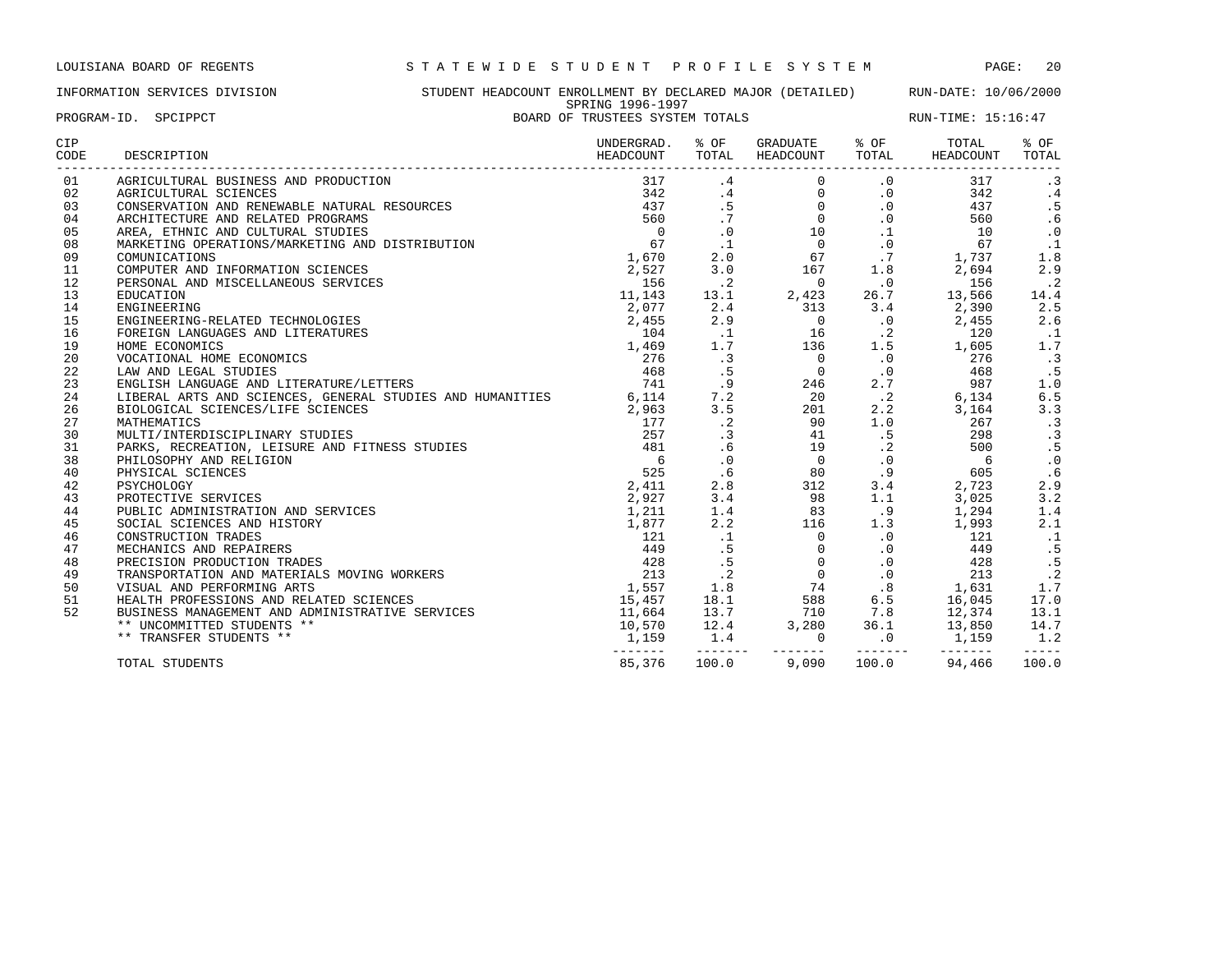INFORMATION SERVICES DIVISION STUDENT HEADCOUNT ENROLLMENT BY DECLARED MAJOR (DETAILED) RUN-DATE: 10/06/2000 SPRING 1996-1997 PROGRAM-ID. SPCIPPCT **EXAM-ID.** SPEIPPCT **BOARD OF TRUSTEES SYSTEM TOTALS** RUN-TIME: 15:16:47

| <b>CIP</b><br>CODE | DESCRIPTION                                                     | UNDERGRAD.<br>HEADCOUNT   | % OF<br>TOTAL            | GRADUATE<br>HEADCOUNT                                      | % OF<br>TOTAL        | TOTAL<br>HEADCOUNT | % OF<br>TOTAL  |
|--------------------|-----------------------------------------------------------------|---------------------------|--------------------------|------------------------------------------------------------|----------------------|--------------------|----------------|
| 01                 | AGRICULTURAL BUSINESS AND PRODUCTION                            | 317                       | .4                       | $\mathbf 0$                                                | $\cdot$ 0            | 317                | $\cdot$ 3      |
| 02                 | AGRICULTURAL SCIENCES                                           | 342                       | .4                       | $\mathbf{0}$                                               | $\cdot$ 0            | 342                | .4             |
| 03                 | CONSERVATION AND RENEWABLE NATURAL RESOURCES                    | 437                       | .5                       | $\overline{0}$                                             | $\cdot$ 0            | 437                | .5             |
| 04                 | ARCHITECTURE AND RELATED PROGRAMS                               | 560                       | .7                       | $0 \qquad \qquad$                                          | $\cdot$ 0            | 560                | .6             |
| 05                 | AREA, ETHNIC AND CULTURAL STUDIES                               | $\overline{0}$            | $\cdot$ 0                |                                                            | $\cdot$ 1            | 10                 | $\cdot$ 0      |
| 08                 | MARKETING OPERATIONS/MARKETING AND DISTRIBUTION                 | 67                        | $\cdot$ 1                | $\begin{smallmatrix}10\0\end{smallmatrix}$                 | $\cdot$ 0            | 67                 | $\cdot$ 1      |
| 09                 | COMUNICATIONS                                                   | 1,670                     | 2.0                      | 67                                                         | .7                   | 1,737              | 1.8            |
| 11                 | COMPUTER AND INFORMATION SCIENCES                               | 2,527                     | 3.0                      | 167                                                        | 1.8                  | 2,694              | 2.9            |
| 12                 | PERSONAL AND MISCELLANEOUS SERVICES                             | 156                       | $\cdot$ . 2              | $\overline{0}$                                             | $\cdot$ 0            | 156                | $\cdot$ 2      |
| 13                 | EDUCATION                                                       | 11,143                    | 13.1                     | 2,423                                                      | 26.7                 | 13,566             | 14.4           |
| 14                 | ENGINEERING                                                     | 2,077                     | 2.4                      | 313                                                        | 3.4                  | 2,390              | 2.5            |
| 15                 | ENGINEERING-RELATED TECHNOLOGIES                                | 2,455                     | 2.9                      | $\overline{0}$                                             | $\cdot$ 0            | 2,455              | 2.6            |
| 16                 | FOREIGN LANGUAGES AND LITERATURES                               | 104                       | $\cdot$ 1                | 16                                                         | $\cdot$ 2            | 120                | . 1            |
| 19                 | HOME ECONOMICS                                                  | 1,469                     | 1.7                      | 136                                                        | 1.5                  | 1,605              | 1.7            |
| 20                 | VOCATIONAL HOME ECONOMICS                                       | 276                       | $\cdot$ 3                | $\overline{0}$                                             | $\cdot$ 0            | 276                | $\cdot$ 3      |
| 22                 | LAW AND LEGAL STUDIES                                           | 468                       | .5                       |                                                            | $\cdot$ 0            | 468                | .5             |
| 23                 | ENGLISH LANGUAGE AND LITERATURE/LETTERS                         | 741                       | .9                       | $\begin{array}{c} 0 \\ 246 \\ 20 \\ 20 \end{array}$<br>246 | 2.7                  | 987                | 1.0            |
| 24                 | LIBERAL ARTS AND SCIENCES, GENERAL STUDIES AND HUMANITIES 6,114 |                           | 7.2                      |                                                            | $\cdot$ . 2          | 6,134              | 6.5            |
| 26                 | BIOLOGICAL SCIENCES/LIFE SCIENCES                               | 2,963                     | 3.5                      |                                                            | 2.2                  | 3,164              | 3.3            |
| 27                 | MATHEMATICS                                                     | 177                       | $\cdot$ 2                | 90                                                         | 1.0                  | 267                | $\cdot$ 3      |
| 30                 | MULTI/INTERDISCIPLINARY STUDIES                                 | 257                       | .3                       | 41                                                         | .5                   | 298                |                |
| 31                 | PARKS, RECREATION, LEISURE AND FITNESS STUDIES                  | 481                       | .6                       | 19                                                         | $\cdot$ 2            | 500                | $\frac{3}{5}$  |
| 38                 | PHILOSOPHY AND RELIGION                                         | - 6                       | $\cdot$ 0                | $\overline{0}$                                             | $\cdot$ 0            | 6                  | $\cdot$ 0      |
| 40                 | PHYSICAL SCIENCES                                               | 525                       | .6                       | 80                                                         | .9                   | 605                | .6             |
| 42                 | PSYCHOLOGY                                                      | 2,411                     | 2.8                      | 312                                                        | 3.4                  | 2,723              | 2.9            |
| 43                 | PROTECTIVE SERVICES                                             | 2,927                     | 3.4                      | 98                                                         | 1.1                  | 3,025              | 3.2            |
| 44                 | PUBLIC ADMINISTRATION AND SERVICES                              | 1,211                     | 1.4                      | 83                                                         | .9                   | 1,294              | 1.4            |
| 45                 | SOCIAL SCIENCES AND HISTORY                                     | 1,877                     | 2.2                      | 116                                                        | 1.3                  | 1,993              | 2.1            |
| 46                 | CONSTRUCTION TRADES                                             | 121                       | $\cdot$ 1                | $\overline{0}$                                             | $\cdot$ 0            | 121                |                |
| 47                 | MECHANICS AND REPAIRERS                                         | 449                       | .5                       | $\overline{0}$                                             | $\cdot$ 0            | 449                | $\frac{1}{5}$  |
| 48                 | PRECISION PRODUCTION TRADES                                     | 428                       | .5                       |                                                            | $\cdot$ 0            | 428                | .5             |
| 49                 | TRANSPORTATION AND MATERIALS MOVING WORKERS                     | 213                       | $\cdot$ 2                | $\begin{matrix} 0 \\ 0 \\ 0 \end{matrix}$                  | $\cdot$ 0            | 213                | $\cdot$ 2      |
| 50                 | VISUAL AND PERFORMING ARTS                                      | 1,557                     | 1.8                      | 74                                                         | .8                   | 1,631              | 1.7            |
| 51                 | HEALTH PROFESSIONS AND RELATED SCIENCES                         | 15,457                    | 18.1                     | 588                                                        |                      | 16,045             | 17.0           |
| 52                 | BUSINESS MANAGEMENT AND ADMINISTRATIVE SERVICES                 | 11,664                    | 13.7                     | 710                                                        | $6.5$<br>7.8<br>36.1 | 12,374             | 13.1           |
|                    | ** UNCOMMITTED STUDENTS **                                      | 10,570                    | $\frac{13.7}{12.4}$      | 3,280                                                      | 36.1                 | 13,850             | 14.7           |
|                    | ** TRANSFER STUDENTS **                                         | 1,159 1.4                 |                          | $\mathbf 0$                                                | .0                   | 1,159              | 1.2            |
|                    | TOTAL STUDENTS                                                  | $- - - - - - -$<br>85,376 | $- - - - - - -$<br>100.0 | --------<br>9,090                                          | --------<br>100.0    | --------<br>94,466 | -----<br>100.0 |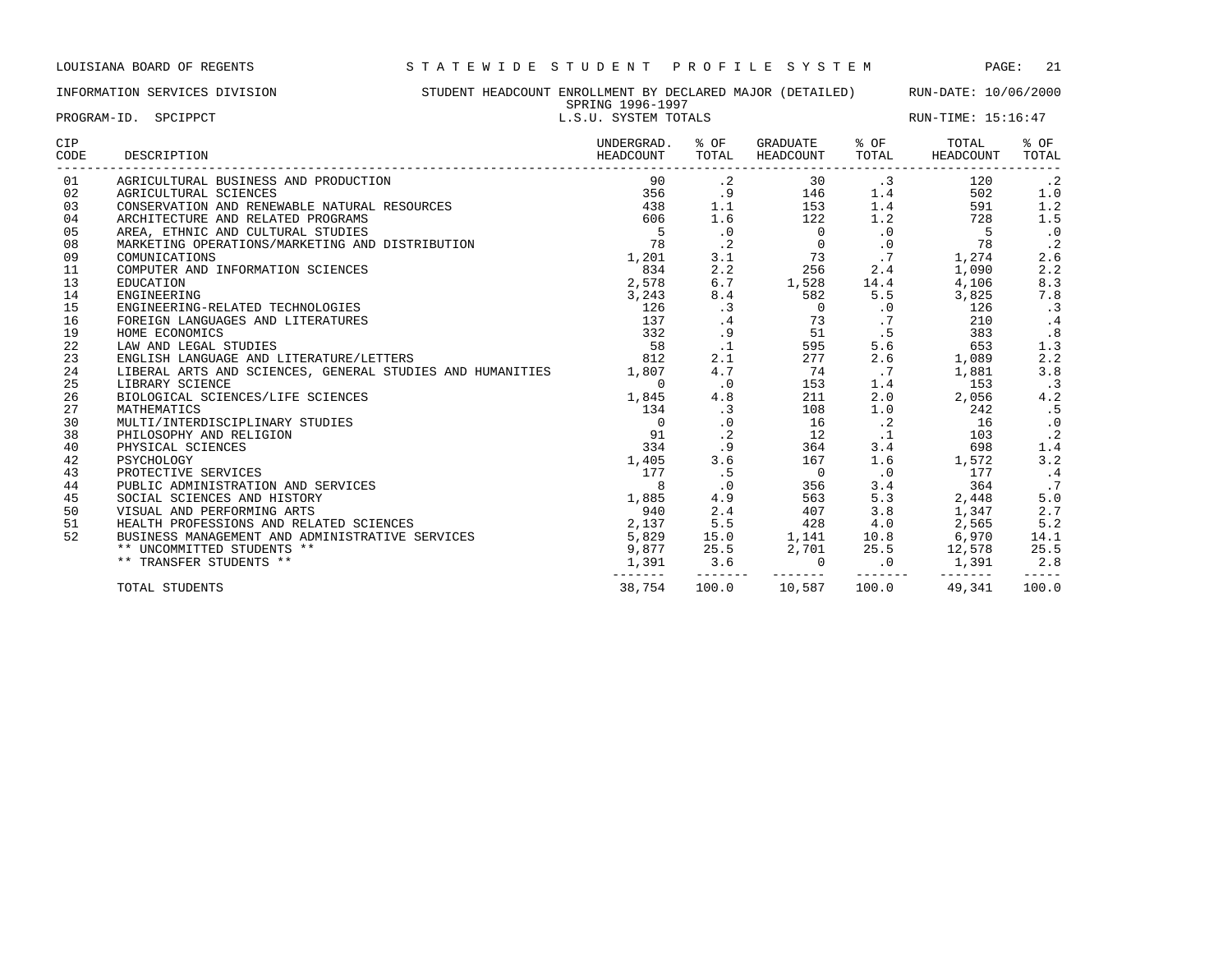### INFORMATION SERVICES DIVISION STUDENT HEADCOUNT ENROLLMENT BY DECLARED MAJOR (DETAILED) RUN-DATE: 10/06/2000 SPRING 1996-1997

------- ------- -------- -------- -

| PROGRAM-ID. SPCIPPCT |                                                                 | SPRING 1996-1997<br>L.S.U. SYSTEM TOTALS |               |                            | RUN-TIME: 15:16:47 |                    |               |  |
|----------------------|-----------------------------------------------------------------|------------------------------------------|---------------|----------------------------|--------------------|--------------------|---------------|--|
| <b>CIP</b><br>CODE   | DESCRIPTION                                                     | UNDERGRAD.<br>HEADCOUNT                  | % OF<br>TOTAL | GRADUATE % OF<br>HEADCOUNT | TOTAL              | TOTAL<br>HEADCOUNT | % OF<br>TOTAL |  |
| 01                   | AGRICULTURAL BUSINESS AND PRODUCTION                            | 90                                       | $\cdot$ 2     | 30                         | $\cdot$ 3          | 120                | $\cdot$ 2     |  |
| 02                   | AGRICULTURAL SCIENCES                                           | 356                                      | .9            | 146                        | 1.4                | 502                | 1.0           |  |
| 03                   | CONSERVATION AND RENEWABLE NATURAL RESOURCES                    | 438                                      | 1.1           | 153                        | 1.4                | 591                | 1.2           |  |
| 04                   | ARCHITECTURE AND RELATED PROGRAMS                               | 606                                      | 1.6           | 122                        | 1.2                | 728                | 1.5           |  |
| 05                   | AREA, ETHNIC AND CULTURAL STUDIES                               | $5\overline{)}$                          | $\cdot$ 0     | $\Omega$                   | $\cdot$ 0          | 5                  | $\,$ . $0$    |  |
| 08                   | MARKETING OPERATIONS/MARKETING AND DISTRIBUTION                 | 78                                       | $\cdot$ 2     | $\overline{0}$             | $\cdot$ 0          | 78                 | $\cdot$ 2     |  |
| 09                   | COMUNICATIONS                                                   | 1,201                                    | 3.1           | 73                         | .7                 | 1,274              | 2.6           |  |
| 11                   | COMPUTER AND INFORMATION SCIENCES                               | 834                                      | 2.2           | 256                        | 2.4                | 1,090              | 2.2           |  |
| 13                   | <b>EDUCATION</b>                                                | 2,578                                    | 6.7           | 1,528                      | 14.4               | 4,106              | 8.3           |  |
| 14                   | ENGINEERING                                                     | 3,243                                    | 8.4           | 582                        | 5.5                | 3,825              | 7.8           |  |
| 15                   | ENGINEERING-RELATED TECHNOLOGIES                                | 126                                      | .3            | $\overline{0}$             | $\cdot$ 0          | 126                | $\cdot$ 3     |  |
| 16                   | FOREIGN LANGUAGES AND LITERATURES                               | 137                                      | $\cdot$ 4     | 73                         | .7                 | 210                | .4            |  |
| 19                   | HOME ECONOMICS                                                  | 332                                      | .9            | 51                         | .5                 | 383                | .8            |  |
| 22                   | LAW AND LEGAL STUDIES                                           | 58                                       | $\cdot$ 1     | 595                        | 5.6                | 653                | 1.3           |  |
| 23                   | ENGLISH LANGUAGE AND LITERATURE/LETTERS                         | 812                                      | 2.1           | 277                        | 2.6                | 1,089              | 2.2           |  |
| 24                   | LIBERAL ARTS AND SCIENCES, GENERAL STUDIES AND HUMANITIES 1,807 |                                          | 4.7           | 74                         | .7                 | 1,881              | 3.8           |  |
| 25                   | LIBRARY SCIENCE                                                 | $\Omega$                                 | $\cdot$ 0     | 153                        | 1.4                | 153                | $\cdot$ 3     |  |
| 26                   | BIOLOGICAL SCIENCES/LIFE SCIENCES                               | 1,845                                    | 4.8           | 211                        | 2.0                | 2,056              | 4.2           |  |
| 27                   | MATHEMATICS                                                     | 134                                      | .3            | 108                        | 1.0                | 242                | .5            |  |
| 30                   | MULTI/INTERDISCIPLINARY STUDIES                                 | $\Omega$                                 | $\cdot$ 0     | 16                         | $\cdot$ 2          | 16                 | $\cdot$ 0     |  |
| 38                   | PHILOSOPHY AND RELIGION                                         | 91                                       | $\cdot$ 2     | 12                         | .1                 | 103                | $\cdot$ 2     |  |
| 40                   | PHYSICAL SCIENCES                                               | 334                                      | .9            | 364                        | 3.4                | 698                | 1.4           |  |
| 42                   | PSYCHOLOGY                                                      | 1,405                                    | 3.6           | 167                        | 1.6                | 1,572              | 3.2           |  |
| 43                   | PROTECTIVE SERVICES                                             | 177                                      | .5            | $\overline{0}$             | $\cdot$ 0          | 177                | $\cdot$ 4     |  |
| 44                   | PUBLIC ADMINISTRATION AND SERVICES                              | 8                                        | $\cdot$ 0     | 356                        | 3.4                | 364                | .7            |  |
| 45                   | SOCIAL SCIENCES AND HISTORY                                     | 1,885                                    | 4.9           | 563                        | 5.3                | 2,448              | 5.0           |  |
| 50                   | VISUAL AND PERFORMING ARTS                                      | 940                                      | 2.4           | 407                        | 3.8                | 1,347              | 2.7           |  |

 HEALTH PROFESSIONS AND RELATED SCIENCES 2,137 5.5 428 4.0 2,565 5.2 BUSINESS MANAGEMENT AND ADMINISTRATIVE SERVICES 5,829 15.0 1,141 10.8 6,970 14.1 \*\* UNCOMMITTED STUDENTS \*\* 9,877 25.5 2,701 25.5 12,578 25.5 \*\* TRANSFER STUDENTS \*\* 1,391 3.6 0 .0 1,391 2.8

TOTAL STUDENTS 38,754 100.0 10,587 100.0 49,341 100.0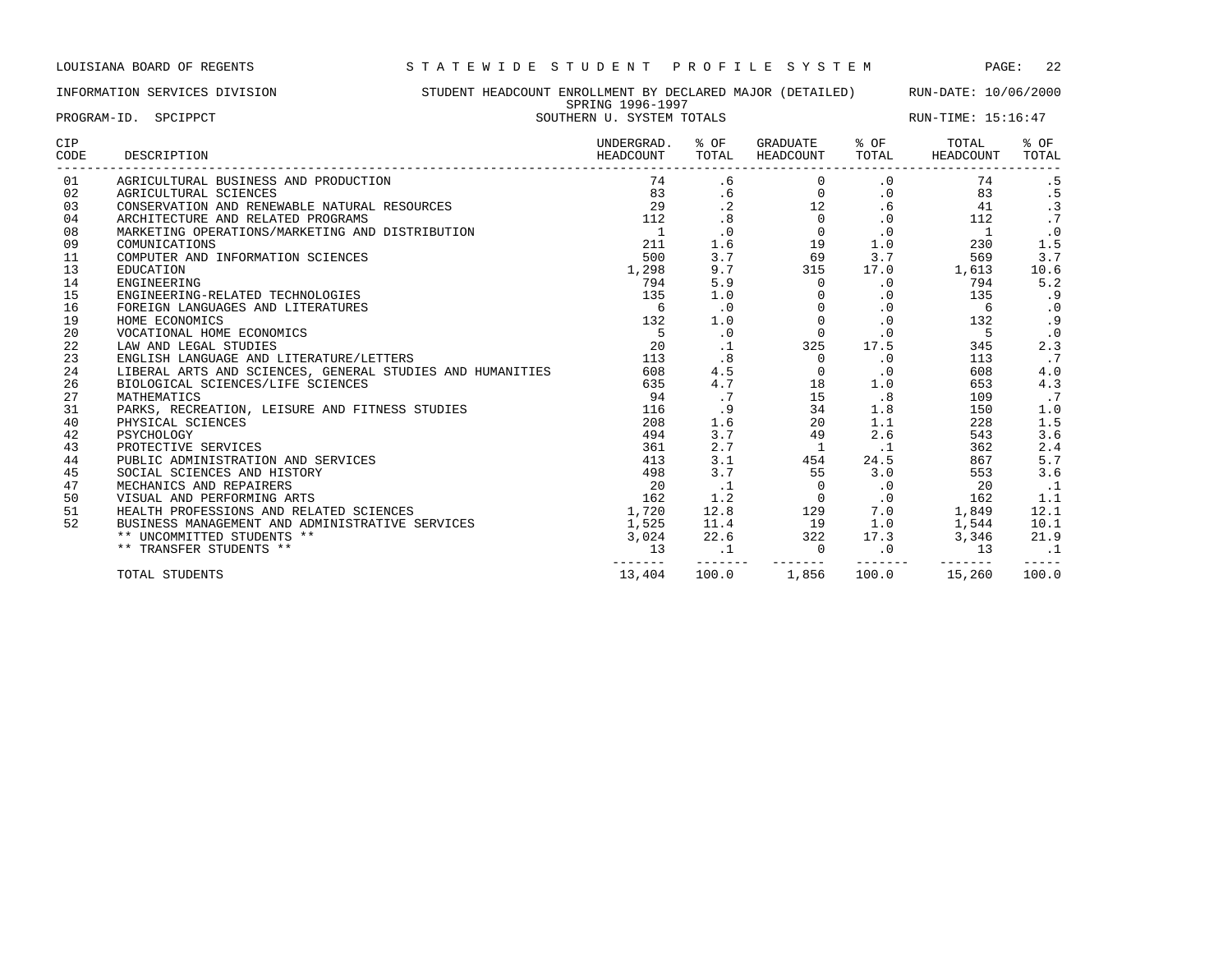INFORMATION SERVICES DIVISION STUDENT HEADCOUNT ENROLLMENT BY DECLARED MAJOR (DETAILED) RUN-DATE: 10/06/2000 SPRING 1996-1997 PROGRAM-ID. SPCIPPCT SOUTHERN U. SYSTEM TOTALS RUN-TIME: 15:16:47

| CIP<br>CODE | DESCRIPTION                                               | UNDERGRAD.<br>HEADCOUNT | % OF<br>TOTAL | GRADUATE<br>HEADCOUNT | % OF<br>TOTAL | TOTAL<br>HEADCOUNT | % OF<br>TOTAL |
|-------------|-----------------------------------------------------------|-------------------------|---------------|-----------------------|---------------|--------------------|---------------|
| 01          | AGRICULTURAL BUSINESS AND PRODUCTION                      | 74                      | .6            |                       | $\cdot$ 0     | 74                 | . 5           |
| 02          | AGRICULTURAL SCIENCES                                     | 83                      | . 6           | $\circ$               | $\cdot$ 0     | 83                 | . 5           |
| 03          | CONSERVATION AND RENEWABLE NATURAL RESOURCES              | 29                      | $\cdot$ 2     | 12                    | .6            | 41                 | $\cdot$ 3     |
| 04          | ARCHITECTURE AND RELATED PROGRAMS                         | 112                     | .8            | $\Omega$              | $\cdot$ 0     | 112                | .7            |
| 08          | MARKETING OPERATIONS/MARKETING AND DISTRIBUTION           |                         | $\cdot$ 0     | $\Omega$              | $\cdot$ 0     | $\overline{1}$     | $\cdot$ 0     |
| 09          | COMUNICATIONS                                             | 211                     | 1.6           | 19                    | 1.0           | 230                | 1.5           |
| 11          | COMPUTER AND INFORMATION SCIENCES                         | 500                     | 3.7           | 69                    | 3.7           | 569                | 3.7           |
| 13          | EDUCATION                                                 | 1,298                   | 9.7           | 315                   | 17.0          | 1,613              | 10.6          |
| 14          | ENGINEERING                                               | 794                     | 5.9           | 0                     | $\cdot$ 0     | 794                | 5.2           |
| 15          | ENGINEERING-RELATED TECHNOLOGIES                          | 135                     | 1.0           | $\Omega$              | $\cdot$ 0     | 135                | . 9           |
| 16          | FOREIGN LANGUAGES AND LITERATURES                         | 6                       | $\cdot$ 0     | $\Omega$              | $\cdot$ 0     | 6                  | $\cdot$ 0     |
| 19          | HOME ECONOMICS                                            | 132                     | 1.0           | 0                     | $\cdot$ 0     | 132                | .9            |
| 20          | VOCATIONAL HOME ECONOMICS                                 | 5                       | $\cdot$ 0     | $\mathbf 0$           | $\cdot$ 0     | 5                  | $\cdot$ 0     |
| 22          | LAW AND LEGAL STUDIES                                     | 20                      | $\cdot$ 1     | 325                   | 17.5          | 345                | 2.3           |
| 23          | ENGLISH LANGUAGE AND LITERATURE/LETTERS                   | 113                     | .8            | 0                     | $\cdot$ 0     | 113                | .7            |
| 24          | LIBERAL ARTS AND SCIENCES, GENERAL STUDIES AND HUMANITIES | 608                     | 4.5           | $\Omega$              | $\cdot$ 0     | 608                | 4.0           |
| 26          | BIOLOGICAL SCIENCES/LIFE SCIENCES                         | 635                     | 4.7           | 18                    | 1.0           | 653                | 4.3           |
| 27          | MATHEMATICS                                               | 94                      | .7            | 15                    | .8            | 109                | $\cdot$ 7     |
| 31          | PARKS, RECREATION, LEISURE AND FITNESS STUDIES            | 116                     | .9            | 34                    | 1.8           | 150                | 1.0           |
| 40          | PHYSICAL SCIENCES                                         | 208                     | 1.6           | 20                    | 1.1           | 228                | 1.5           |
| 42          | PSYCHOLOGY                                                | 494                     | 3.7           | 49                    | 2.6           | 543                | 3.6           |
| 43          | PROTECTIVE SERVICES                                       | 361                     | 2.7           | -1                    | $\cdot$ 1     | 362                | 2.4           |
| 44          | PUBLIC ADMINISTRATION AND SERVICES                        | 413                     | 3.1           | 454                   | 24.5          | 867                | 5.7           |
| 45          | SOCIAL SCIENCES AND HISTORY                               | 498                     | 3.7           | 55                    | 3.0           | 553                | 3.6           |
| 47          | MECHANICS AND REPAIRERS                                   | 20                      | $\cdot$ 1     | $\mathbf{0}$          | $\cdot$ 0     | 20                 | $\cdot$ 1     |
| 50          | VISUAL AND PERFORMING ARTS                                | 162                     | 1.2           | $\mathbf 0$           | $\cdot$ 0     | 162                | 1.1           |
| 51          | HEALTH PROFESSIONS AND RELATED SCIENCES                   | 1,720                   | 12.8          | 129                   | 7.0           | 1,849              | 12.1          |
| 52          | BUSINESS MANAGEMENT AND ADMINISTRATIVE SERVICES           | 1,525                   | 11.4          | 19                    | 1.0           | 1,544              | 10.1          |
|             | ** UNCOMMITTED STUDENTS **                                | 3,024                   | 22.6          | 322                   | 17.3          | 3,346              | 21.9          |
|             | ** TRANSFER STUDENTS **                                   | 13                      |               | $\mathbf 0$           | $\cdot$ 0     | 13                 |               |
|             | TOTAL STUDENTS                                            | 13,404                  | 100.0         | 1,856                 | 100.0         | 15,260             | 100.0         |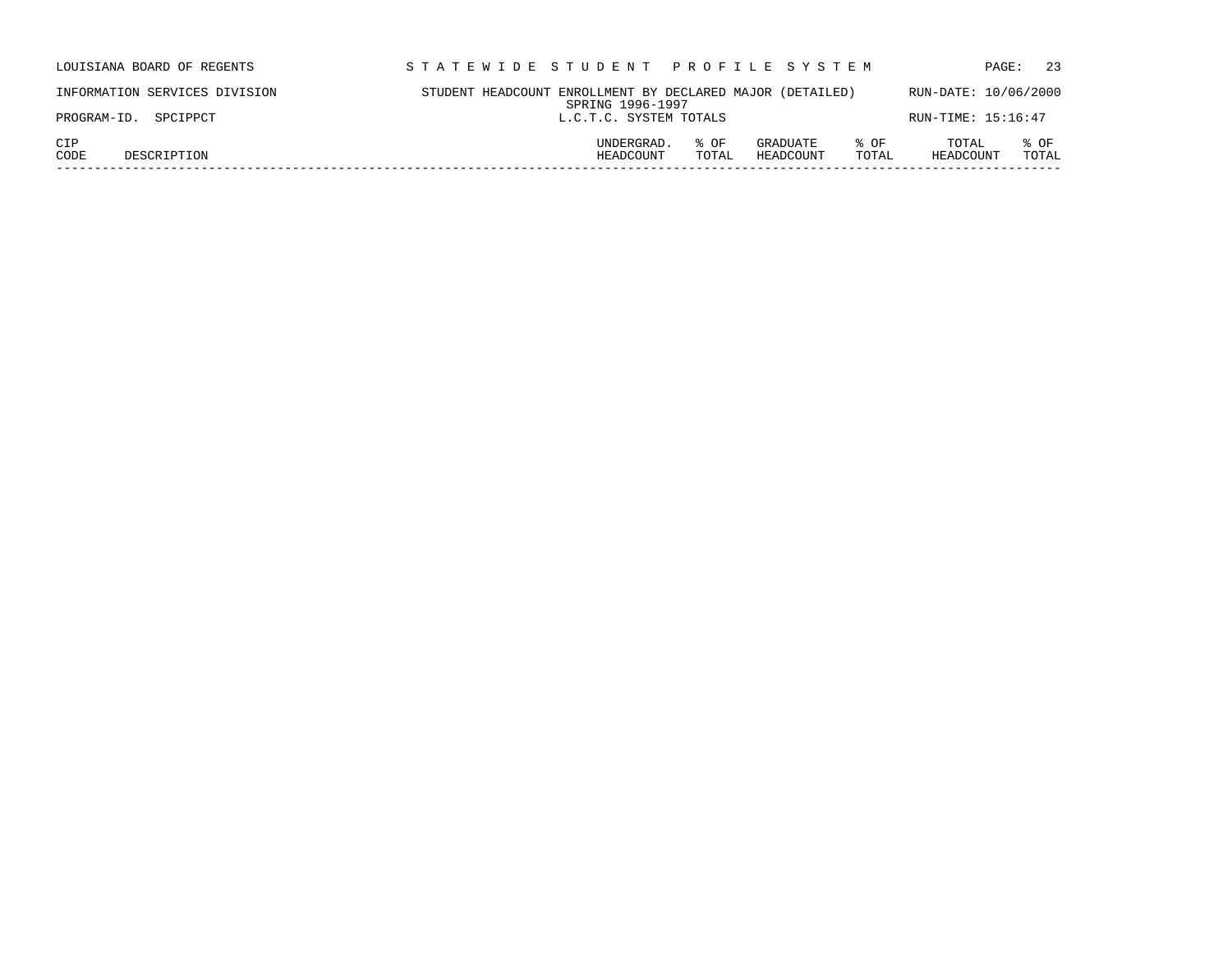| LOUISIANA BOARD OF REGENTS    | STATEWIDE STUDENT PROFILE SYSTEM                                                   | 23<br>PAGE:                         |
|-------------------------------|------------------------------------------------------------------------------------|-------------------------------------|
| INFORMATION SERVICES DIVISION | STUDENT HEADCOUNT ENROLLMENT BY DECLARED MAJOR (DETAILED)<br>SPRING 1996-1997      | RUN-DATE: 10/06/2000                |
| PROGRAM-ID. SPCIPPCT          | L.C.T.C. SYSTEM TOTALS                                                             | RUN-TIME: 15:16:47                  |
| CIP<br>CODE<br>DESCRIPTION    | UNDERGRAD.<br>% OF<br>GRADUATE<br>% OF<br>HEADCOUNT<br>HEADCOUNT<br>TOTAL<br>TOTAL | TOTAL<br>% OF<br>TOTAL<br>HEADCOUNT |